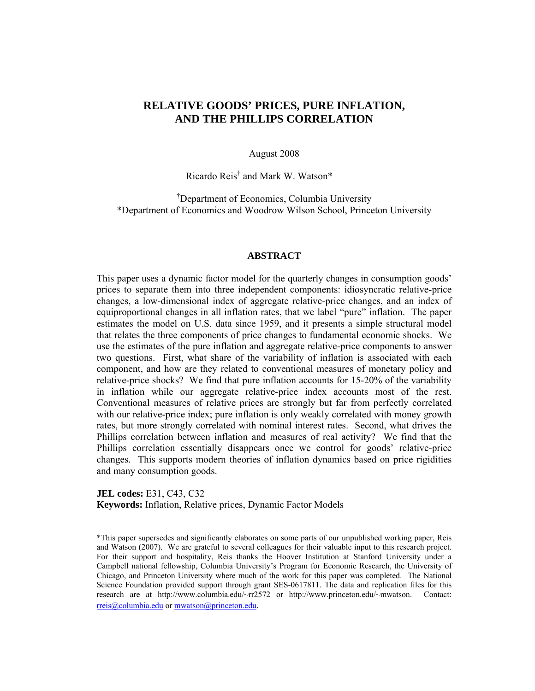# **RELATIVE GOODS' PRICES, PURE INFLATION, AND THE PHILLIPS CORRELATION**

### August 2008

Ricardo Reis<sup>†</sup> and Mark W. Watson\*

† Department of Economics, Columbia University \*Department of Economics and Woodrow Wilson School, Princeton University

#### **ABSTRACT**

This paper uses a dynamic factor model for the quarterly changes in consumption goods' prices to separate them into three independent components: idiosyncratic relative-price changes, a low-dimensional index of aggregate relative-price changes, and an index of equiproportional changes in all inflation rates, that we label "pure" inflation. The paper estimates the model on U.S. data since 1959, and it presents a simple structural model that relates the three components of price changes to fundamental economic shocks. We use the estimates of the pure inflation and aggregate relative-price components to answer two questions. First, what share of the variability of inflation is associated with each component, and how are they related to conventional measures of monetary policy and relative-price shocks? We find that pure inflation accounts for 15-20% of the variability in inflation while our aggregate relative-price index accounts most of the rest. Conventional measures of relative prices are strongly but far from perfectly correlated with our relative-price index; pure inflation is only weakly correlated with money growth rates, but more strongly correlated with nominal interest rates. Second, what drives the Phillips correlation between inflation and measures of real activity? We find that the Phillips correlation essentially disappears once we control for goods' relative-price changes. This supports modern theories of inflation dynamics based on price rigidities and many consumption goods.

**JEL codes:** E31, C43, C32 **Keywords:** Inflation, Relative prices, Dynamic Factor Models

\*This paper supersedes and significantly elaborates on some parts of our unpublished working paper, Reis and Watson (2007). We are grateful to several colleagues for their valuable input to this research project. For their support and hospitality, Reis thanks the Hoover Institution at Stanford University under a Campbell national fellowship, Columbia University's Program for Economic Research, the University of Chicago, and Princeton University where much of the work for this paper was completed. The National Science Foundation provided support through grant SES-0617811. The data and replication files for this research are at http://www.columbia.edu/~rr2572 or http://www.princeton.edu/~mwatson. Contact: rreis@columbia.edu or mwatson@princeton.edu.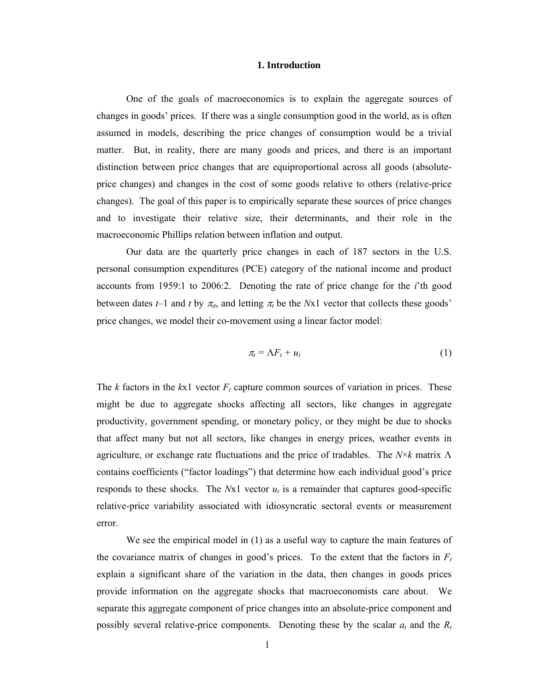#### **1. Introduction**

One of the goals of macroeconomics is to explain the aggregate sources of changes in goods' prices. If there was a single consumption good in the world, as is often assumed in models, describing the price changes of consumption would be a trivial matter. But, in reality, there are many goods and prices, and there is an important distinction between price changes that are equiproportional across all goods (absoluteprice changes) and changes in the cost of some goods relative to others (relative-price changes). The goal of this paper is to empirically separate these sources of price changes and to investigate their relative size, their determinants, and their role in the macroeconomic Phillips relation between inflation and output.

Our data are the quarterly price changes in each of 187 sectors in the U.S. personal consumption expenditures (PCE) category of the national income and product accounts from 1959:1 to 2006:2. Denoting the rate of price change for the *i*'th good between dates  $t-1$  and  $t$  by  $\pi_{it}$ , and letting  $\pi_t$  be the *N*x1 vector that collects these goods' price changes, we model their co-movement using a linear factor model:

$$
\pi_t = \Lambda F_t + u_t \tag{1}
$$

The  $k$  factors in the  $kx1$  vector  $F_t$  capture common sources of variation in prices. These might be due to aggregate shocks affecting all sectors, like changes in aggregate productivity, government spending, or monetary policy, or they might be due to shocks that affect many but not all sectors, like changes in energy prices, weather events in agriculture, or exchange rate fluctuations and the price of tradables. The *N*×*k* matrix Λ contains coefficients ("factor loadings") that determine how each individual good's price responds to these shocks. The  $Nx1$  vector  $u_t$  is a remainder that captures good-specific relative-price variability associated with idiosyncratic sectoral events or measurement error.

We see the empirical model in (1) as a useful way to capture the main features of the covariance matrix of changes in good's prices. To the extent that the factors in  $F_t$ explain a significant share of the variation in the data, then changes in goods prices provide information on the aggregate shocks that macroeconomists care about. We separate this aggregate component of price changes into an absolute-price component and possibly several relative-price components. Denoting these by the scalar  $a_t$  and the  $R_t$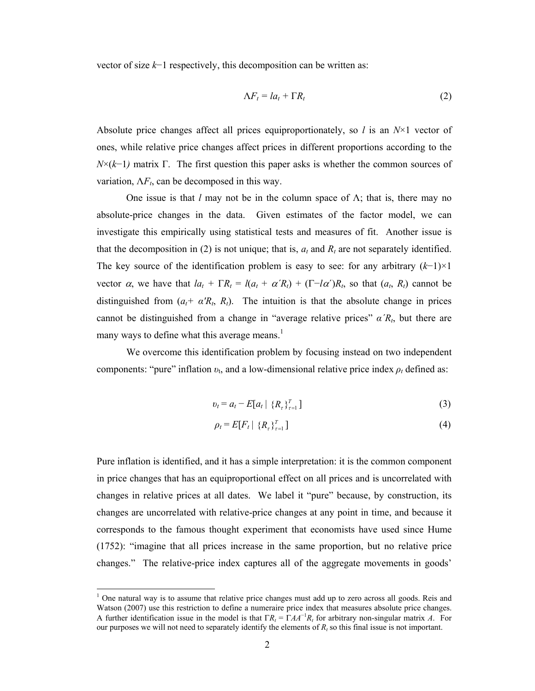vector of size *k*−1 respectively, this decomposition can be written as:

$$
\Delta F_t = Ia_t + \Gamma R_t \tag{2}
$$

Absolute price changes affect all prices equiproportionately, so *l* is an *N*×1 vector of ones, while relative price changes affect prices in different proportions according to the *N*×(*k*−1) matrix Γ. The first question this paper asks is whether the common sources of variation,  $\Delta F_t$ , can be decomposed in this way.

One issue is that *l* may not be in the column space of  $\Lambda$ ; that is, there may no absolute-price changes in the data. Given estimates of the factor model, we can investigate this empirically using statistical tests and measures of fit. Another issue is that the decomposition in (2) is not unique; that is,  $a_t$  and  $R_t$  are not separately identified. The key source of the identification problem is easy to see: for any arbitrary (*k*−1)×1 vector  $\alpha$ , we have that  $la_t + \Gamma R_t = l(a_t + \alpha' R_t) + (\Gamma - l\alpha')R_t$ , so that  $(a_t, R_t)$  cannot be distinguished from  $(a_t + a'R_t, R_t)$ . The intuition is that the absolute change in prices cannot be distinguished from a change in "average relative prices"  $\alpha' R_t$ , but there are many ways to define what this average means.<sup>1</sup>

We overcome this identification problem by focusing instead on two independent components: "pure" inflation  $v_t$ , and a low-dimensional relative price index  $\rho_t$  defined as:

$$
v_t = a_t - E[a_t \mid \{R_{\tau}\}_{\tau=1}^T]
$$
\n(3)

$$
\rho_t = E[F_t \mid \{R_{\tau}\}_{\tau=1}^T] \tag{4}
$$

Pure inflation is identified, and it has a simple interpretation: it is the common component in price changes that has an equiproportional effect on all prices and is uncorrelated with changes in relative prices at all dates. We label it "pure" because, by construction, its changes are uncorrelated with relative-price changes at any point in time, and because it corresponds to the famous thought experiment that economists have used since Hume (1752): "imagine that all prices increase in the same proportion, but no relative price changes." The relative-price index captures all of the aggregate movements in goods'

l

<sup>1</sup> One natural way is to assume that relative price changes must add up to zero across all goods. Reis and Watson (2007) use this restriction to define a numeraire price index that measures absolute price changes. A further identification issue in the model is that  $\Gamma R_t = \Gamma A A^{-1} R_t$  for arbitrary non-singular matrix *A*. For our purposes we will not need to separately identify the elements of  $R_t$  so this final issue is not important.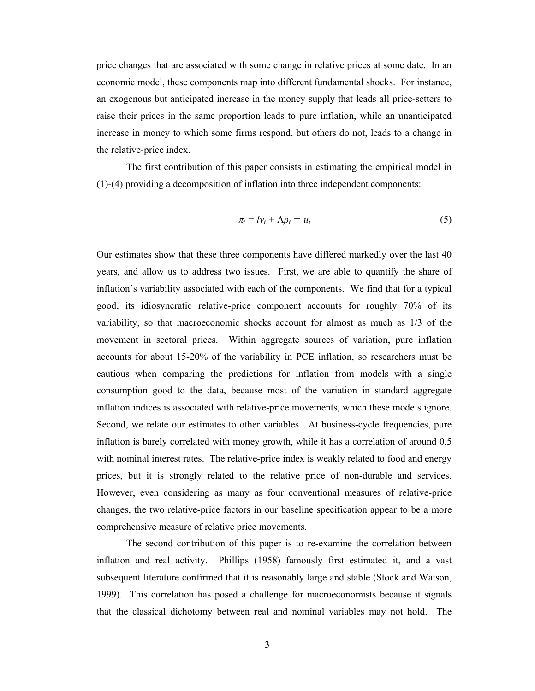price changes that are associated with some change in relative prices at some date. In an economic model, these components map into different fundamental shocks. For instance, an exogenous but anticipated increase in the money supply that leads all price-setters to raise their prices in the same proportion leads to pure inflation, while an unanticipated increase in money to which some firms respond, but others do not, leads to a change in the relative-price index.

The first contribution of this paper consists in estimating the empirical model in (1)-(4) providing a decomposition of inflation into three independent components:

$$
\pi_t = l v_t + \Lambda \rho_t + u_t \tag{5}
$$

Our estimates show that these three components have differed markedly over the last 40 years, and allow us to address two issues. First, we are able to quantify the share of inflation's variability associated with each of the components. We find that for a typical good, its idiosyncratic relative-price component accounts for roughly 70% of its variability, so that macroeconomic shocks account for almost as much as 1/3 of the movement in sectoral prices. Within aggregate sources of variation, pure inflation accounts for about 15-20% of the variability in PCE inflation, so researchers must be cautious when comparing the predictions for inflation from models with a single consumption good to the data, because most of the variation in standard aggregate inflation indices is associated with relative-price movements, which these models ignore. Second, we relate our estimates to other variables. At business-cycle frequencies, pure inflation is barely correlated with money growth, while it has a correlation of around 0.5 with nominal interest rates. The relative-price index is weakly related to food and energy prices, but it is strongly related to the relative price of non-durable and services. However, even considering as many as four conventional measures of relative-price changes, the two relative-price factors in our baseline specification appear to be a more comprehensive measure of relative price movements.

The second contribution of this paper is to re-examine the correlation between inflation and real activity. Phillips (1958) famously first estimated it, and a vast subsequent literature confirmed that it is reasonably large and stable (Stock and Watson, 1999). This correlation has posed a challenge for macroeconomists because it signals that the classical dichotomy between real and nominal variables may not hold. The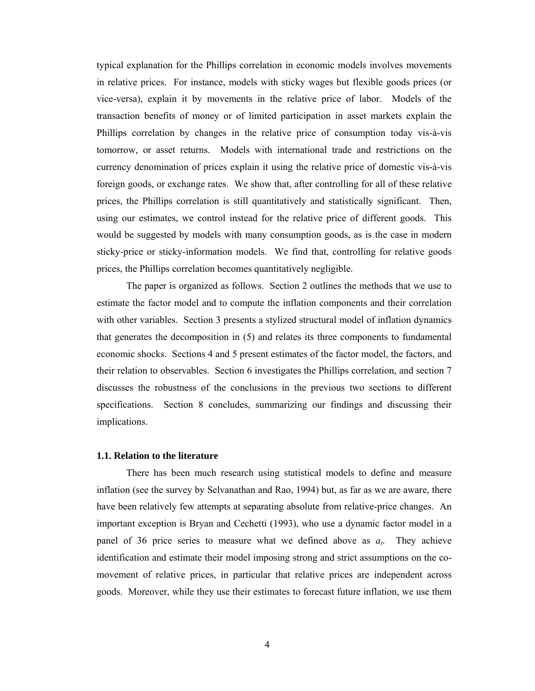typical explanation for the Phillips correlation in economic models involves movements in relative prices. For instance, models with sticky wages but flexible goods prices (or vice-versa), explain it by movements in the relative price of labor. Models of the transaction benefits of money or of limited participation in asset markets explain the Phillips correlation by changes in the relative price of consumption today vis-à-vis tomorrow, or asset returns. Models with international trade and restrictions on the currency denomination of prices explain it using the relative price of domestic vis-à-vis foreign goods, or exchange rates. We show that, after controlling for all of these relative prices, the Phillips correlation is still quantitatively and statistically significant. Then, using our estimates, we control instead for the relative price of different goods. This would be suggested by models with many consumption goods, as is the case in modern sticky-price or sticky-information models. We find that, controlling for relative goods prices, the Phillips correlation becomes quantitatively negligible.

 The paper is organized as follows. Section 2 outlines the methods that we use to estimate the factor model and to compute the inflation components and their correlation with other variables. Section 3 presents a stylized structural model of inflation dynamics that generates the decomposition in (5) and relates its three components to fundamental economic shocks. Sections 4 and 5 present estimates of the factor model, the factors, and their relation to observables. Section 6 investigates the Phillips correlation, and section 7 discusses the robustness of the conclusions in the previous two sections to different specifications. Section 8 concludes, summarizing our findings and discussing their implications.

#### **1.1. Relation to the literature**

There has been much research using statistical models to define and measure inflation (see the survey by Selvanathan and Rao, 1994) but, as far as we are aware, there have been relatively few attempts at separating absolute from relative-price changes. An important exception is Bryan and Cechetti (1993), who use a dynamic factor model in a panel of 36 price series to measure what we defined above as *at*. They achieve identification and estimate their model imposing strong and strict assumptions on the comovement of relative prices, in particular that relative prices are independent across goods. Moreover, while they use their estimates to forecast future inflation, we use them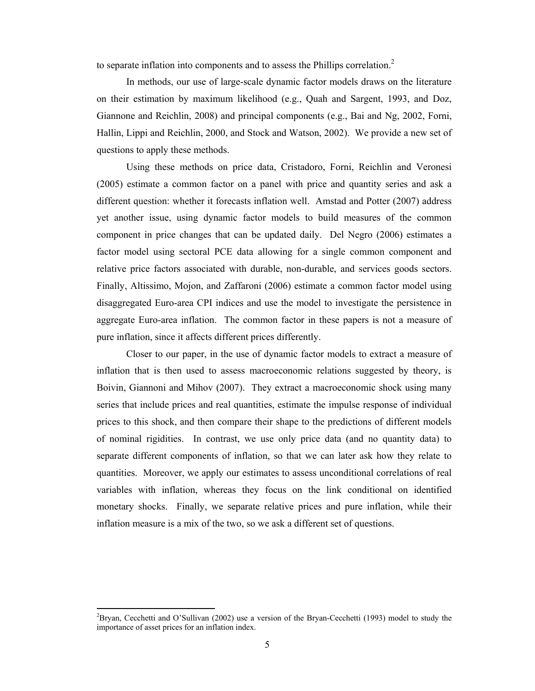to separate inflation into components and to assess the Phillips correlation.<sup>2</sup>

In methods, our use of large-scale dynamic factor models draws on the literature on their estimation by maximum likelihood (e.g., Quah and Sargent, 1993, and Doz, Giannone and Reichlin, 2008) and principal components (e.g., Bai and Ng, 2002, Forni, Hallin, Lippi and Reichlin, 2000, and Stock and Watson, 2002). We provide a new set of questions to apply these methods.

Using these methods on price data, Cristadoro, Forni, Reichlin and Veronesi (2005) estimate a common factor on a panel with price and quantity series and ask a different question: whether it forecasts inflation well. Amstad and Potter (2007) address yet another issue, using dynamic factor models to build measures of the common component in price changes that can be updated daily. Del Negro (2006) estimates a factor model using sectoral PCE data allowing for a single common component and relative price factors associated with durable, non-durable, and services goods sectors. Finally, Altissimo, Mojon, and Zaffaroni (2006) estimate a common factor model using disaggregated Euro-area CPI indices and use the model to investigate the persistence in aggregate Euro-area inflation. The common factor in these papers is not a measure of pure inflation, since it affects different prices differently.

Closer to our paper, in the use of dynamic factor models to extract a measure of inflation that is then used to assess macroeconomic relations suggested by theory, is Boivin, Giannoni and Mihov (2007). They extract a macroeconomic shock using many series that include prices and real quantities, estimate the impulse response of individual prices to this shock, and then compare their shape to the predictions of different models of nominal rigidities. In contrast, we use only price data (and no quantity data) to separate different components of inflation, so that we can later ask how they relate to quantities. Moreover, we apply our estimates to assess unconditional correlations of real variables with inflation, whereas they focus on the link conditional on identified monetary shocks. Finally, we separate relative prices and pure inflation, while their inflation measure is a mix of the two, so we ask a different set of questions.

l

 ${}^{2}$ Bryan, Cecchetti and O'Sullivan (2002) use a version of the Bryan-Cecchetti (1993) model to study the importance of asset prices for an inflation index.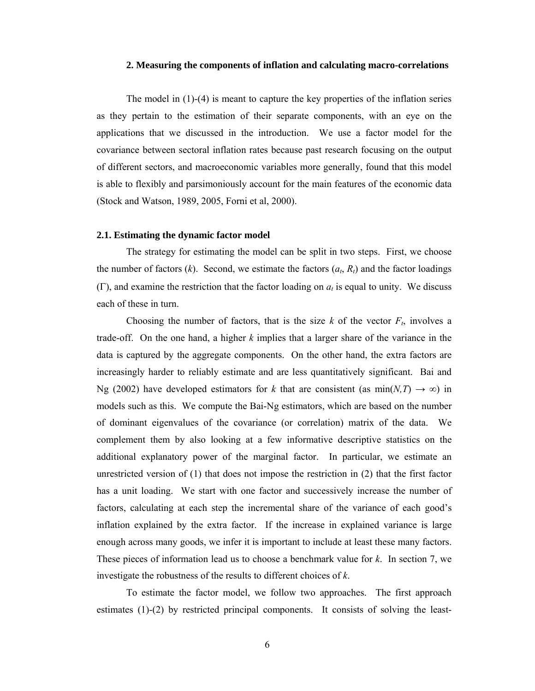#### **2. Measuring the components of inflation and calculating macro-correlations**

The model in (1)-(4) is meant to capture the key properties of the inflation series as they pertain to the estimation of their separate components, with an eye on the applications that we discussed in the introduction. We use a factor model for the covariance between sectoral inflation rates because past research focusing on the output of different sectors, and macroeconomic variables more generally, found that this model is able to flexibly and parsimoniously account for the main features of the economic data (Stock and Watson, 1989, 2005, Forni et al, 2000).

#### **2.1. Estimating the dynamic factor model**

The strategy for estimating the model can be split in two steps. First, we choose the number of factors  $(k)$ . Second, we estimate the factors  $(a_t, R_t)$  and the factor loadings  $(\Gamma)$ , and examine the restriction that the factor loading on  $a_t$  is equal to unity. We discuss each of these in turn.

Choosing the number of factors, that is the size  $k$  of the vector  $F_t$ , involves a trade-off. On the one hand, a higher *k* implies that a larger share of the variance in the data is captured by the aggregate components. On the other hand, the extra factors are increasingly harder to reliably estimate and are less quantitatively significant. Bai and Ng (2002) have developed estimators for *k* that are consistent (as  $min(N,T) \rightarrow \infty$ ) in models such as this. We compute the Bai-Ng estimators, which are based on the number of dominant eigenvalues of the covariance (or correlation) matrix of the data. We complement them by also looking at a few informative descriptive statistics on the additional explanatory power of the marginal factor. In particular, we estimate an unrestricted version of (1) that does not impose the restriction in (2) that the first factor has a unit loading. We start with one factor and successively increase the number of factors, calculating at each step the incremental share of the variance of each good's inflation explained by the extra factor. If the increase in explained variance is large enough across many goods, we infer it is important to include at least these many factors. These pieces of information lead us to choose a benchmark value for *k*. In section 7, we investigate the robustness of the results to different choices of *k*.

To estimate the factor model, we follow two approaches. The first approach estimates (1)-(2) by restricted principal components. It consists of solving the least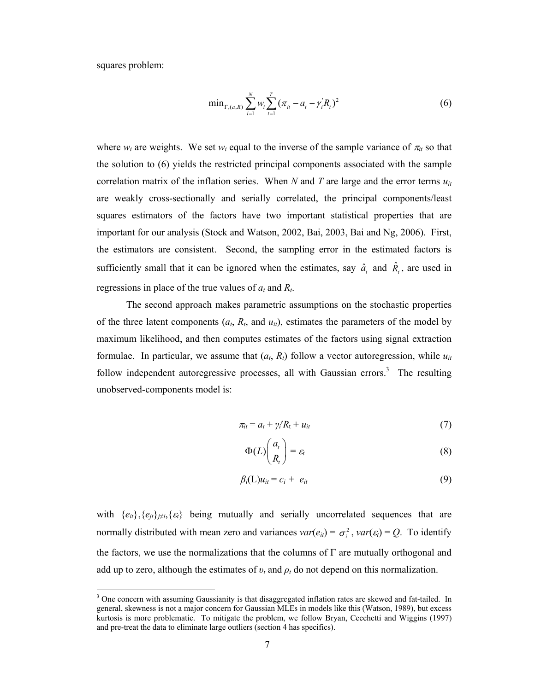squares problem:

 $\overline{a}$ 

$$
\min_{\Gamma,(a,R)} \sum_{i=1}^{N} w_i \sum_{t=1}^{T} (\pi_{it} - a_t - \gamma_i R_t)^2
$$
 (6)

where  $w_i$  are weights. We set  $w_i$  equal to the inverse of the sample variance of  $\pi_i$  so that the solution to (6) yields the restricted principal components associated with the sample correlation matrix of the inflation series. When *N* and *T* are large and the error terms  $u_{it}$ are weakly cross-sectionally and serially correlated, the principal components/least squares estimators of the factors have two important statistical properties that are important for our analysis (Stock and Watson, 2002, Bai, 2003, Bai and Ng, 2006). First, the estimators are consistent. Second, the sampling error in the estimated factors is sufficiently small that it can be ignored when the estimates, say  $\hat{a}_t$  and  $\hat{R}_t$ , are used in regressions in place of the true values of  $a_t$  and  $R_t$ .

The second approach makes parametric assumptions on the stochastic properties of the three latent components  $(a_t, R_t, \text{ and } u_{it})$ , estimates the parameters of the model by maximum likelihood, and then computes estimates of the factors using signal extraction formulae. In particular, we assume that  $(a_t, R_t)$  follow a vector autoregression, while  $u_{it}$ follow independent autoregressive processes, all with Gaussian errors.<sup>3</sup> The resulting unobserved-components model is:

$$
\pi_{it} = a_t + \gamma_i' R_t + u_{it} \tag{7}
$$

$$
\Phi(L)\binom{a_t}{R_t} = \varepsilon_t \tag{8}
$$

$$
\beta_i(L)u_{it}=c_i+e_{it} \qquad (9)
$$

with  ${e_{it}}$ , ${e_{it}}$ , ${e_{it}}$ , ${f_{\epsilon}}$  being mutually and serially uncorrelated sequences that are normally distributed with mean zero and variances  $var(e_{it}) = \sigma_i^2$ ,  $var(\varepsilon_t) = Q$ . To identify the factors, we use the normalizations that the columns of  $\Gamma$  are mutually orthogonal and add up to zero, although the estimates of  $v_t$  and  $\rho_t$  do not depend on this normalization.

<sup>&</sup>lt;sup>3</sup> One concern with assuming Gaussianity is that disaggregated inflation rates are skewed and fat-tailed. In general, skewness is not a major concern for Gaussian MLEs in models like this (Watson, 1989), but excess kurtosis is more problematic. To mitigate the problem, we follow Bryan, Cecchetti and Wiggins (1997) and pre-treat the data to eliminate large outliers (section 4 has specifics).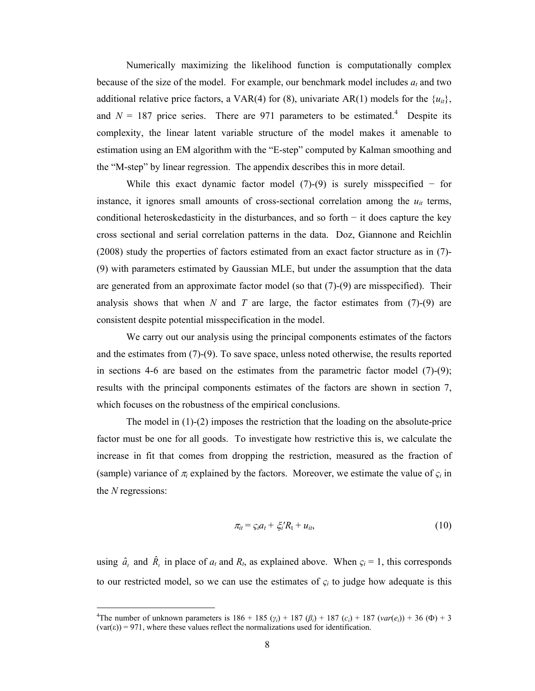Numerically maximizing the likelihood function is computationally complex because of the size of the model. For example, our benchmark model includes  $a_t$  and two additional relative price factors, a VAR(4) for (8), univariate AR(1) models for the  $\{u_{ii}\}\,$ , and  $N = 187$  price series. There are 971 parameters to be estimated.<sup>4</sup> Despite its complexity, the linear latent variable structure of the model makes it amenable to estimation using an EM algorithm with the "E-step" computed by Kalman smoothing and the "M-step" by linear regression. The appendix describes this in more detail.

While this exact dynamic factor model  $(7)-(9)$  is surely misspecified – for instance, it ignores small amounts of cross-sectional correlation among the  $u_{it}$  terms, conditional heteroskedasticity in the disturbances, and so forth − it does capture the key cross sectional and serial correlation patterns in the data. Doz, Giannone and Reichlin (2008) study the properties of factors estimated from an exact factor structure as in (7)- (9) with parameters estimated by Gaussian MLE, but under the assumption that the data are generated from an approximate factor model (so that (7)-(9) are misspecified). Their analysis shows that when *N* and *T* are large, the factor estimates from  $(7)-(9)$  are consistent despite potential misspecification in the model.

We carry out our analysis using the principal components estimates of the factors and the estimates from (7)-(9). To save space, unless noted otherwise, the results reported in sections 4-6 are based on the estimates from the parametric factor model  $(7)-(9)$ ; results with the principal components estimates of the factors are shown in section 7, which focuses on the robustness of the empirical conclusions.

The model in (1)-(2) imposes the restriction that the loading on the absolute-price factor must be one for all goods. To investigate how restrictive this is, we calculate the increase in fit that comes from dropping the restriction, measured as the fraction of (sample) variance of  $\pi$ <sub>*i*</sub> explained by the factors. Moreover, we estimate the value of  $\varsigma$ *i* in the *N* regressions:

$$
\pi_{it} = \varsigma_i a_t + \xi_i' R_t + u_{it},\tag{10}
$$

using  $\hat{a}_t$  and  $\hat{R}_t$  in place of  $a_t$  and  $R_t$ , as explained above. When  $\varsigma_i = 1$ , this corresponds to our restricted model, so we can use the estimates of  $\varsigma_i$  to judge how adequate is this

 $\overline{a}$ 

<sup>&</sup>lt;sup>4</sup>The number of unknown parameters is  $186 + 185 (γ<sub>i</sub>) + 187 (β<sub>i</sub>) + 187 (c<sub>i</sub>) + 187 (var(e<sub>i</sub>)) + 36 (Φ) + 3$  $(var(\varepsilon)) = 971$ , where these values reflect the normalizations used for identification.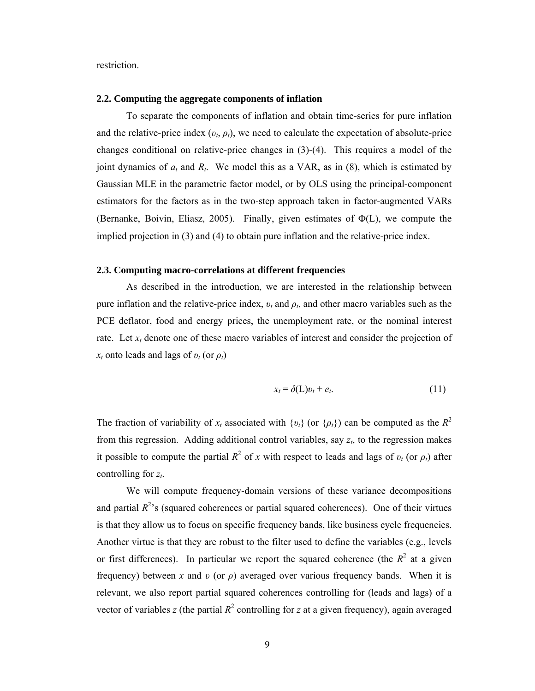restriction.

#### **2.2. Computing the aggregate components of inflation**

To separate the components of inflation and obtain time-series for pure inflation and the relative-price index  $(v_t, \rho_t)$ , we need to calculate the expectation of absolute-price changes conditional on relative-price changes in (3)-(4). This requires a model of the joint dynamics of  $a_t$  and  $R_t$ . We model this as a VAR, as in (8), which is estimated by Gaussian MLE in the parametric factor model, or by OLS using the principal-component estimators for the factors as in the two-step approach taken in factor-augmented VARs (Bernanke, Boivin, Eliasz, 2005). Finally, given estimates of  $\Phi(L)$ , we compute the implied projection in (3) and (4) to obtain pure inflation and the relative-price index.

### **2.3. Computing macro-correlations at different frequencies**

As described in the introduction, we are interested in the relationship between pure inflation and the relative-price index,  $v_t$  and  $\rho_t$ , and other macro variables such as the PCE deflator, food and energy prices, the unemployment rate, or the nominal interest rate. Let *xt* denote one of these macro variables of interest and consider the projection of *x<sub>t</sub>* onto leads and lags of  $v_t$  (or  $ρ_t$ )

$$
x_t = \delta(L)v_t + e_t. \tag{11}
$$

The fraction of variability of  $x_t$  associated with  $\{v_t\}$  (or  $\{\rho_t\}$ ) can be computed as the  $R^2$ from this regression. Adding additional control variables, say  $z_t$ , to the regression makes it possible to compute the partial  $R^2$  of *x* with respect to leads and lags of  $v_t$  (or  $\rho_t$ ) after controlling for *zt*.

We will compute frequency-domain versions of these variance decompositions and partial  $R^2$ 's (squared coherences or partial squared coherences). One of their virtues is that they allow us to focus on specific frequency bands, like business cycle frequencies. Another virtue is that they are robust to the filter used to define the variables (e.g., levels or first differences). In particular we report the squared coherence (the  $R^2$  at a given frequency) between *x* and *υ* (or *ρ*) averaged over various frequency bands. When it is relevant, we also report partial squared coherences controlling for (leads and lags) of a vector of variables *z* (the partial  $R^2$  controlling for *z* at a given frequency), again averaged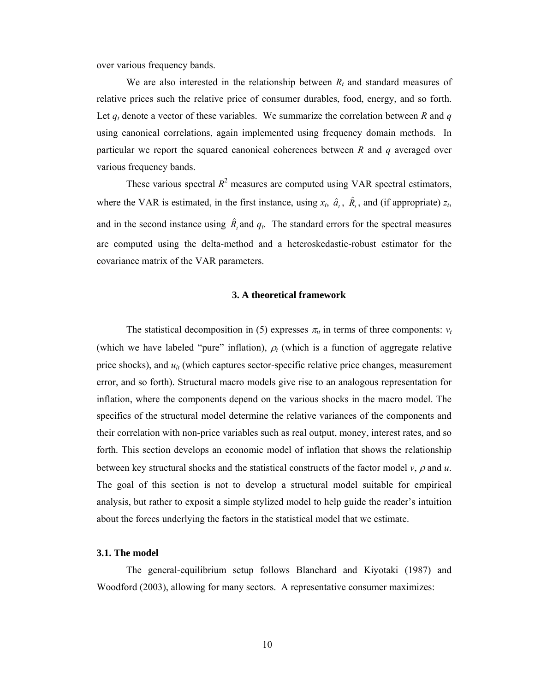over various frequency bands.

We are also interested in the relationship between  $R_t$  and standard measures of relative prices such the relative price of consumer durables, food, energy, and so forth. Let  $q_t$  denote a vector of these variables. We summarize the correlation between *R* and *q* using canonical correlations, again implemented using frequency domain methods. In particular we report the squared canonical coherences between *R* and *q* averaged over various frequency bands.

These various spectral  $R^2$  measures are computed using VAR spectral estimators, where the VAR is estimated, in the first instance, using  $x_t$ ,  $\hat{a}_t$ ,  $\hat{R}_t$ , and (if appropriate)  $z_t$ , and in the second instance using  $\hat{R}_t$  and  $q_t$ . The standard errors for the spectral measures are computed using the delta-method and a heteroskedastic-robust estimator for the covariance matrix of the VAR parameters.

#### **3. A theoretical framework**

The statistical decomposition in (5) expresses  $\pi_{it}$  in terms of three components:  $v_t$ (which we have labeled "pure" inflation),  $\rho_t$  (which is a function of aggregate relative price shocks), and  $u_{it}$  (which captures sector-specific relative price changes, measurement error, and so forth). Structural macro models give rise to an analogous representation for inflation, where the components depend on the various shocks in the macro model. The specifics of the structural model determine the relative variances of the components and their correlation with non-price variables such as real output, money, interest rates, and so forth. This section develops an economic model of inflation that shows the relationship between key structural shocks and the statistical constructs of the factor model *v*, <sup>ρ</sup> and *u*. The goal of this section is not to develop a structural model suitable for empirical analysis, but rather to exposit a simple stylized model to help guide the reader's intuition about the forces underlying the factors in the statistical model that we estimate.

#### **3.1. The model**

The general-equilibrium setup follows Blanchard and Kiyotaki (1987) and Woodford (2003), allowing for many sectors. A representative consumer maximizes: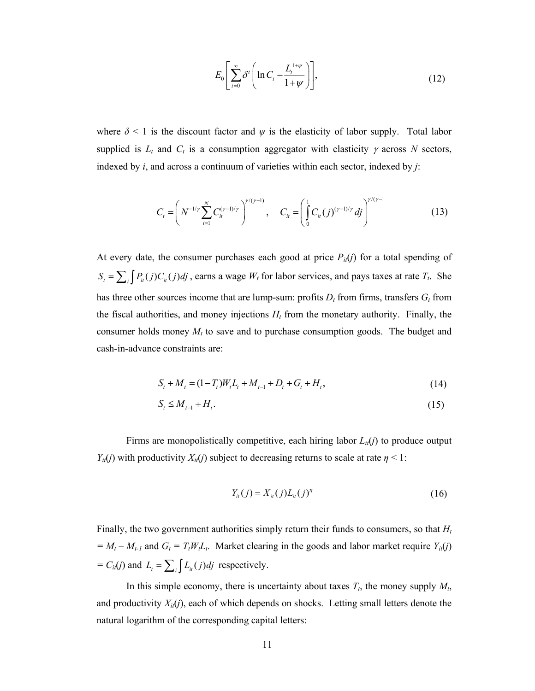$$
E_0\left[\sum_{t=0}^{\infty} \delta^t \left(\ln C_t - \frac{L_t^{1+\psi}}{1+\psi}\right)\right],\tag{12}
$$

where  $\delta$  < 1 is the discount factor and  $\psi$  is the elasticity of labor supply. Total labor supplied is  $L_t$  and  $C_t$  is a consumption aggregator with elasticity  $\gamma$  across  $N$  sectors, indexed by *i*, and across a continuum of varieties within each sector, indexed by *j*:

$$
C_t = \left( N^{-1/\gamma} \sum_{i=1}^N C_{it}^{(\gamma-1)/\gamma} \right)^{\gamma/(\gamma-1)}, \quad C_{it} = \left( \int_0^1 C_{it}(j)^{(\gamma-1)/\gamma} dj \right)^{\gamma/(\gamma-1)}
$$
(13)

At every date, the consumer purchases each good at price  $P_{it}(j)$  for a total spending of  $S_t = \sum_i \int P_u(j) C_u(j) dj$ , earns a wage  $W_t$  for labor services, and pays taxes at rate  $T_t$ . She has three other sources income that are lump-sum: profits  $D_t$  from firms, transfers  $G_t$  from the fiscal authorities, and money injections  $H_t$  from the monetary authority. Finally, the consumer holds money  $M_t$  to save and to purchase consumption goods. The budget and cash-in-advance constraints are:

$$
S_t + M_t = (1 - T_t)W_t L_t + M_{t-1} + D_t + G_t + H_t,
$$
\n(14)

$$
S_t \le M_{t-1} + H_t. \tag{15}
$$

Firms are monopolistically competitive, each hiring labor *Lit*(*j*) to produce output *Y<sub>it</sub>*(*j*) with productivity *X<sub>it</sub>*(*j*) subject to decreasing returns to scale at rate  $\eta$  < 1:

$$
Y_{it}(j) = X_{it}(j)L_{it}(j)^{\eta}
$$
 (16)

Finally, the two government authorities simply return their funds to consumers, so that *Ht*   $M_t - M_{t-1}$  and  $G_t = T_t W_t L_t$ . Market clearing in the goods and labor market require  $Y_{it}(j)$ *=*  $C_{it}(j)$  and  $L_t = \sum_i \int L_{it}(j)dj$  respectively.

In this simple economy, there is uncertainty about taxes  $T_t$ , the money supply  $M_t$ , and productivity  $X_{it}(j)$ , each of which depends on shocks. Letting small letters denote the natural logarithm of the corresponding capital letters: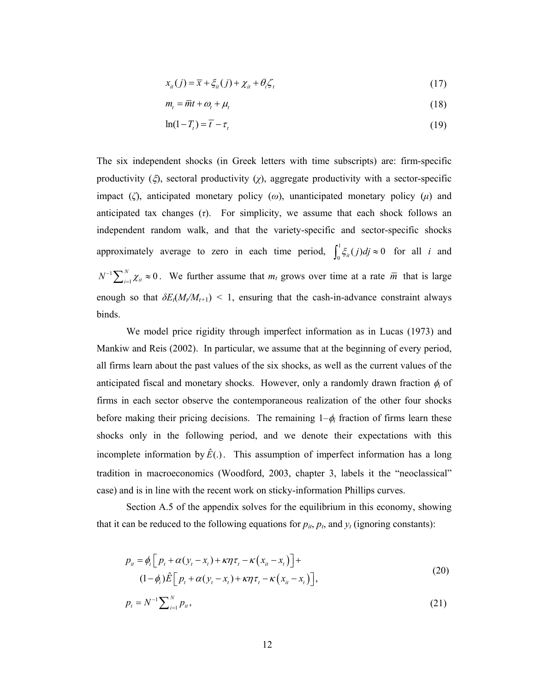$$
x_{it}(j) = \overline{x} + \xi_{it}(j) + \chi_{it} + \theta_i \zeta_t \tag{17}
$$

$$
m_t = \overline{m}t + \omega_t + \mu_t \tag{18}
$$

$$
\ln(1 - T_t) = \overline{t} - \tau_t \tag{19}
$$

The six independent shocks (in Greek letters with time subscripts) are: firm-specific productivity  $(\xi)$ , sectoral productivity  $(\chi)$ , aggregate productivity with a sector-specific impact (*ζ*), anticipated monetary policy (*ω*), unanticipated monetary policy (*μ*) and anticipated tax changes  $(\tau)$ . For simplicity, we assume that each shock follows an independent random walk, and that the variety-specific and sector-specific shocks approximately average to zero in each time period,  $\int_0^1 \xi_i(j)dj \approx 0$  for all *i* and  $N^{-1} \sum_{i=1}^{N} \chi_{ii} \approx 0$ . We further assume that  $m_t$  grows over time at a rate  $\bar{m}$  that is large enough so that  $\delta E_t(M_t/M_{t+1})$  < 1, ensuring that the cash-in-advance constraint always binds.

We model price rigidity through imperfect information as in Lucas (1973) and Mankiw and Reis (2002). In particular, we assume that at the beginning of every period, all firms learn about the past values of the six shocks, as well as the current values of the anticipated fiscal and monetary shocks. However, only a randomly drawn fraction φ*i* of firms in each sector observe the contemporaneous realization of the other four shocks before making their pricing decisions. The remaining  $1-\phi_i$  fraction of firms learn these shocks only in the following period, and we denote their expectations with this incomplete information by  $\hat{E}$ (.). This assumption of imperfect information has a long tradition in macroeconomics (Woodford, 2003, chapter 3, labels it the "neoclassical" case) and is in line with the recent work on sticky-information Phillips curves.

 Section A.5 of the appendix solves for the equilibrium in this economy, showing that it can be reduced to the following equations for  $p_{it}$ ,  $p_t$ , and  $y_t$  (ignoring constants):

$$
p_{ii} = \phi_i \left[ p_t + \alpha (y_t - x_t) + \kappa \eta \tau_t - \kappa (x_{ii} - x_t) \right] +
$$
  

$$
(1 - \phi_i) \hat{E} \left[ p_t + \alpha (y_t - x_t) + \kappa \eta \tau_t - \kappa (x_{ii} - x_t) \right],
$$
 (20)

 $\overline{a}$ 

$$
p_{t} = N^{-1} \sum_{i=1}^{N} p_{it}, \qquad (21)
$$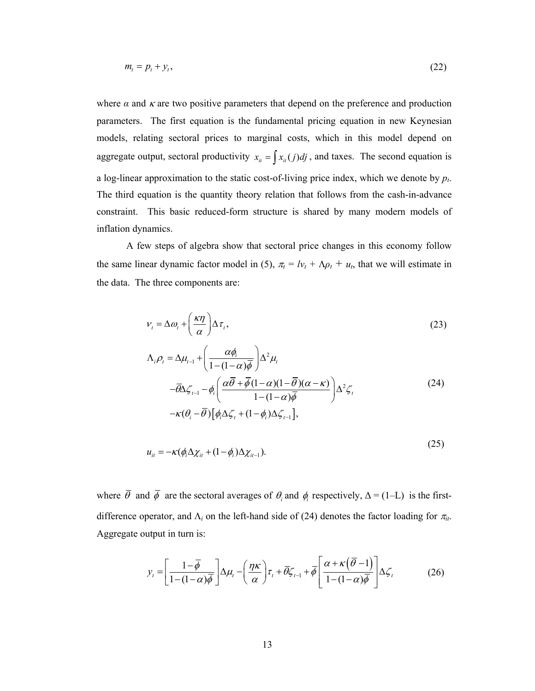$$
m_t = p_t + y_t, \tag{22}
$$

where  $\alpha$  and  $\kappa$  are two positive parameters that depend on the preference and production parameters. The first equation is the fundamental pricing equation in new Keynesian models, relating sectoral prices to marginal costs, which in this model depend on aggregate output, sectoral productivity  $x_{it} = \int x_{it}(j) dj$ , and taxes. The second equation is a log-linear approximation to the static cost-of-living price index, which we denote by *pt*. The third equation is the quantity theory relation that follows from the cash-in-advance constraint. This basic reduced-form structure is shared by many modern models of inflation dynamics.

A few steps of algebra show that sectoral price changes in this economy follow the same linear dynamic factor model in (5),  $\pi_t = l v_t + \Delta \rho_t + u_t$ , that we will estimate in the data. The three components are:

$$
v_{t} = \Delta \omega_{t} + \left(\frac{\kappa \eta}{\alpha}\right) \Delta \tau_{t},
$$
\n
$$
\Delta_{i} \rho_{t} = \Delta \mu_{t-1} + \left(\frac{\alpha \phi_{i}}{1 - (1 - \alpha)\overline{\phi}}\right) \Delta^{2} \mu_{t}
$$
\n
$$
-\overline{\theta} \Delta \zeta_{t-1} - \phi_{i} \left(\frac{\alpha \overline{\theta} + \overline{\phi}(1 - \alpha)(1 - \overline{\theta})(\alpha - \kappa)}{1 - (1 - \alpha)\overline{\phi}}\right) \Delta^{2} \zeta_{t}
$$
\n
$$
-\kappa (\theta_{i} - \overline{\theta}) \left[\phi_{i} \Delta \zeta_{t} + (1 - \phi_{i}) \Delta \zeta_{t-1}\right],
$$
\n(25)

$$
u_{it} = -\kappa(\phi_i \Delta \chi_{it} + (1 - \phi_i) \Delta \chi_{it-1}).
$$

where  $\overline{\theta}$  and  $\overline{\phi}$  are the sectoral averages of  $\theta_i$  and  $\phi_i$  respectively,  $\Delta = (1-L)$  is the firstdifference operator, and Λ*i* on the left-hand side of (24) denotes the factor loading for <sup>π</sup>*it*. Aggregate output in turn is:

$$
y_{t} = \left[\frac{1-\overline{\phi}}{1-(1-\alpha)\overline{\phi}}\right] \Delta \mu_{t} - \left(\frac{\eta \kappa}{\alpha}\right) \tau_{t} + \overline{\theta} \zeta_{t-1} + \overline{\phi} \left[\frac{\alpha + \kappa(\overline{\theta}-1)}{1-(1-\alpha)\overline{\phi}}\right] \Delta \zeta_{t}
$$
(26)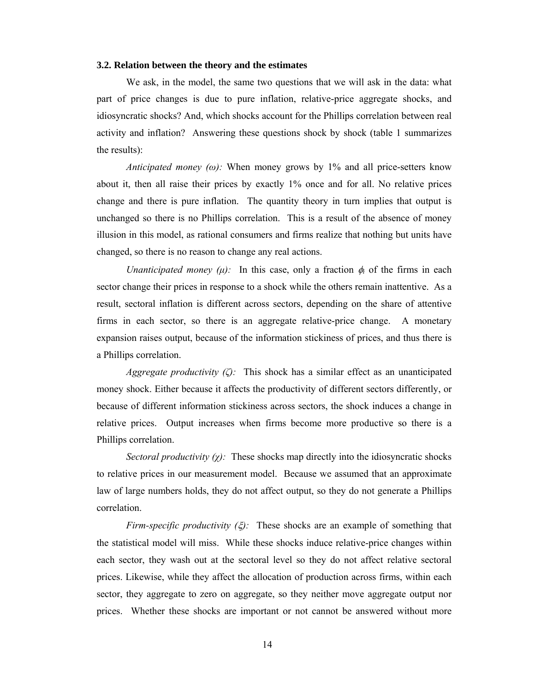#### **3.2. Relation between the theory and the estimates**

 We ask, in the model, the same two questions that we will ask in the data: what part of price changes is due to pure inflation, relative-price aggregate shocks, and idiosyncratic shocks? And, which shocks account for the Phillips correlation between real activity and inflation? Answering these questions shock by shock (table 1 summarizes the results):

 *Anticipated money (ω):* When money grows by 1% and all price-setters know about it, then all raise their prices by exactly 1% once and for all. No relative prices change and there is pure inflation. The quantity theory in turn implies that output is unchanged so there is no Phillips correlation. This is a result of the absence of money illusion in this model, as rational consumers and firms realize that nothing but units have changed, so there is no reason to change any real actions.

*Unanticipated money (<i>µ*): In this case, only a fraction  $\phi_i$  of the firms in each sector change their prices in response to a shock while the others remain inattentive. As a result, sectoral inflation is different across sectors, depending on the share of attentive firms in each sector, so there is an aggregate relative-price change. A monetary expansion raises output, because of the information stickiness of prices, and thus there is a Phillips correlation.

 *Aggregate productivity (ζ):* This shock has a similar effect as an unanticipated money shock. Either because it affects the productivity of different sectors differently, or because of different information stickiness across sectors, the shock induces a change in relative prices. Output increases when firms become more productive so there is a Phillips correlation.

 *Sectoral productivity (χ):* These shocks map directly into the idiosyncratic shocks to relative prices in our measurement model. Because we assumed that an approximate law of large numbers holds, they do not affect output, so they do not generate a Phillips correlation.

 *Firm-specific productivity (*ξ*):* These shocks are an example of something that the statistical model will miss. While these shocks induce relative-price changes within each sector, they wash out at the sectoral level so they do not affect relative sectoral prices. Likewise, while they affect the allocation of production across firms, within each sector, they aggregate to zero on aggregate, so they neither move aggregate output nor prices. Whether these shocks are important or not cannot be answered without more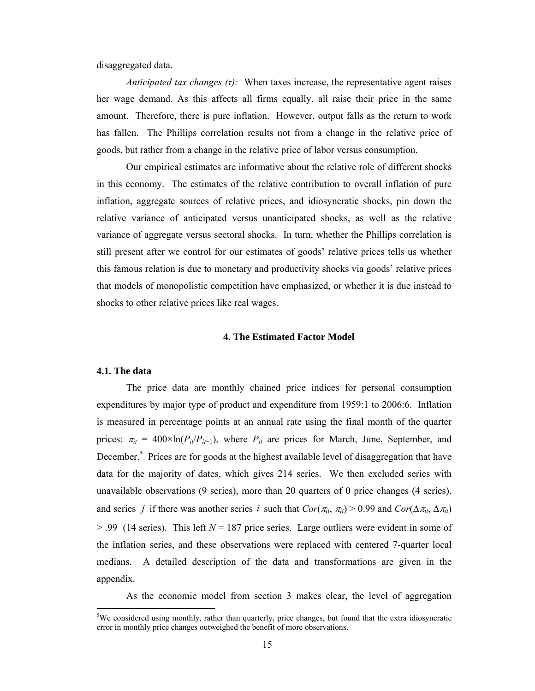disaggregated data.

 *Anticipated tax changes (τ):* When taxes increase, the representative agent raises her wage demand. As this affects all firms equally, all raise their price in the same amount. Therefore, there is pure inflation. However, output falls as the return to work has fallen. The Phillips correlation results not from a change in the relative price of goods, but rather from a change in the relative price of labor versus consumption.

 Our empirical estimates are informative about the relative role of different shocks in this economy. The estimates of the relative contribution to overall inflation of pure inflation, aggregate sources of relative prices, and idiosyncratic shocks, pin down the relative variance of anticipated versus unanticipated shocks, as well as the relative variance of aggregate versus sectoral shocks. In turn, whether the Phillips correlation is still present after we control for our estimates of goods' relative prices tells us whether this famous relation is due to monetary and productivity shocks via goods' relative prices that models of monopolistic competition have emphasized, or whether it is due instead to shocks to other relative prices like real wages.

### **4. The Estimated Factor Model**

#### **4.1. The data**

l

The price data are monthly chained price indices for personal consumption expenditures by major type of product and expenditure from 1959:1 to 2006:6. Inflation is measured in percentage points at an annual rate using the final month of the quarter prices:  $\pi_{it} = 400 \times \ln(P_{it}/P_{it-1})$ , where  $P_{it}$  are prices for March, June, September, and December.<sup>5</sup> Prices are for goods at the highest available level of disaggregation that have data for the majority of dates, which gives 214 series. We then excluded series with unavailable observations (9 series), more than 20 quarters of 0 price changes (4 series), and series *j* if there was another series *i* such that  $Cor(\pi_{it}, \pi_{it}) > 0.99$  and  $Cor(\Delta \pi_{it}, \Delta \pi_{it})$  $> .99$  (14 series). This left  $N = 187$  price series. Large outliers were evident in some of the inflation series, and these observations were replaced with centered 7-quarter local medians. A detailed description of the data and transformations are given in the appendix.

As the economic model from section 3 makes clear, the level of aggregation

<sup>&</sup>lt;sup>5</sup>We considered using monthly, rather than quarterly, price changes, but found that the extra idiosyncratic error in monthly price changes outweighed the benefit of more observations.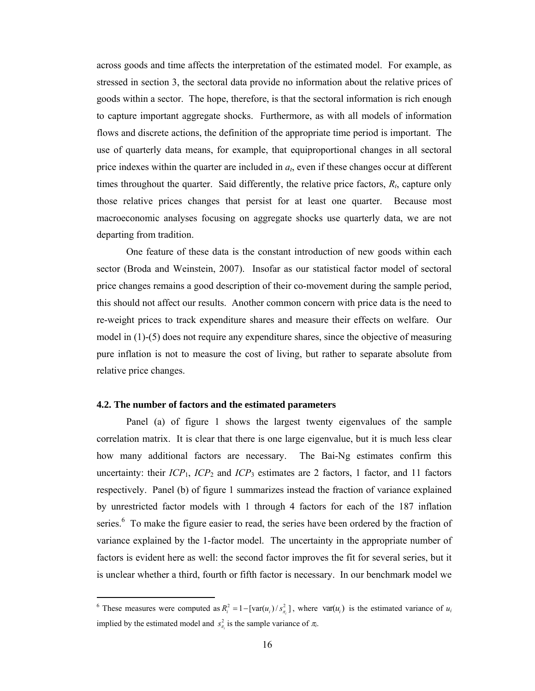across goods and time affects the interpretation of the estimated model. For example, as stressed in section 3, the sectoral data provide no information about the relative prices of goods within a sector. The hope, therefore, is that the sectoral information is rich enough to capture important aggregate shocks. Furthermore, as with all models of information flows and discrete actions, the definition of the appropriate time period is important. The use of quarterly data means, for example, that equiproportional changes in all sectoral price indexes within the quarter are included in *at*, even if these changes occur at different times throughout the quarter. Said differently, the relative price factors,  $R_t$ , capture only those relative prices changes that persist for at least one quarter. Because most macroeconomic analyses focusing on aggregate shocks use quarterly data, we are not departing from tradition.

One feature of these data is the constant introduction of new goods within each sector (Broda and Weinstein, 2007). Insofar as our statistical factor model of sectoral price changes remains a good description of their co-movement during the sample period, this should not affect our results. Another common concern with price data is the need to re-weight prices to track expenditure shares and measure their effects on welfare. Our model in (1)-(5) does not require any expenditure shares, since the objective of measuring pure inflation is not to measure the cost of living, but rather to separate absolute from relative price changes.

#### **4.2. The number of factors and the estimated parameters**

Panel (a) of figure 1 shows the largest twenty eigenvalues of the sample correlation matrix. It is clear that there is one large eigenvalue, but it is much less clear how many additional factors are necessary. The Bai-Ng estimates confirm this uncertainty: their  $ICP_1$ ,  $ICP_2$  and  $ICP_3$  estimates are 2 factors, 1 factor, and 11 factors respectively. Panel (b) of figure 1 summarizes instead the fraction of variance explained by unrestricted factor models with 1 through 4 factors for each of the 187 inflation series.<sup>6</sup> To make the figure easier to read, the series have been ordered by the fraction of variance explained by the 1-factor model. The uncertainty in the appropriate number of factors is evident here as well: the second factor improves the fit for several series, but it is unclear whether a third, fourth or fifth factor is necessary. In our benchmark model we

<sup>&</sup>lt;sup>6</sup> These measures were computed as  $R_i^2 = 1 - [var(u_i)/s_{\pi_i}^2]$ , where  $var(u_i)$  is the estimated variance of  $u_i$ implied by the estimated model and  $s_{\pi_i}^2$  is the sample variance of  $\pi_i$ .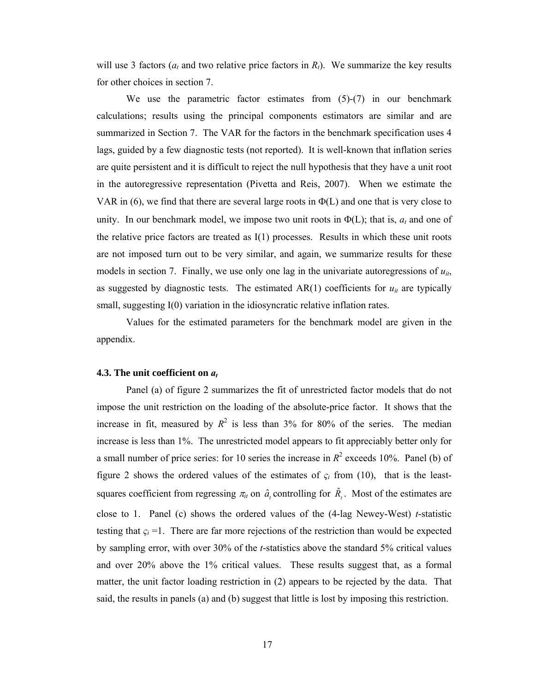will use 3 factors ( $a_t$  and two relative price factors in  $R_t$ ). We summarize the key results for other choices in section 7.

We use the parametric factor estimates from  $(5)-(7)$  in our benchmark calculations; results using the principal components estimators are similar and are summarized in Section 7. The VAR for the factors in the benchmark specification uses 4 lags, guided by a few diagnostic tests (not reported). It is well-known that inflation series are quite persistent and it is difficult to reject the null hypothesis that they have a unit root in the autoregressive representation (Pivetta and Reis, 2007). When we estimate the VAR in (6), we find that there are several large roots in  $\Phi(L)$  and one that is very close to unity. In our benchmark model, we impose two unit roots in  $\Phi(L)$ ; that is,  $a_t$  and one of the relative price factors are treated as  $I(1)$  processes. Results in which these unit roots are not imposed turn out to be very similar, and again, we summarize results for these models in section 7. Finally, we use only one lag in the univariate autoregressions of *uit*, as suggested by diagnostic tests. The estimated  $AR(1)$  coefficients for  $u_{it}$  are typically small, suggesting I(0) variation in the idiosyncratic relative inflation rates.

Values for the estimated parameters for the benchmark model are given in the appendix.

#### **4.3. The unit coefficient on** *at*

 Panel (a) of figure 2 summarizes the fit of unrestricted factor models that do not impose the unit restriction on the loading of the absolute-price factor. It shows that the increase in fit, measured by  $R^2$  is less than 3% for 80% of the series. The median increase is less than 1%. The unrestricted model appears to fit appreciably better only for a small number of price series: for 10 series the increase in  $R^2$  exceeds 10%. Panel (b) of figure 2 shows the ordered values of the estimates of  $\varsigma_i$  from (10), that is the leastsquares coefficient from regressing  $\pi_{it}$  on  $\hat{a}_t$  controlling for  $\hat{R}_t$ . Most of the estimates are close to 1. Panel (c) shows the ordered values of the (4-lag Newey-West) *t*-statistic testing that  $\varsigma_i$  =1. There are far more rejections of the restriction than would be expected by sampling error, with over 30% of the *t*-statistics above the standard 5% critical values and over 20% above the 1% critical values. These results suggest that, as a formal matter, the unit factor loading restriction in (2) appears to be rejected by the data. That said, the results in panels (a) and (b) suggest that little is lost by imposing this restriction.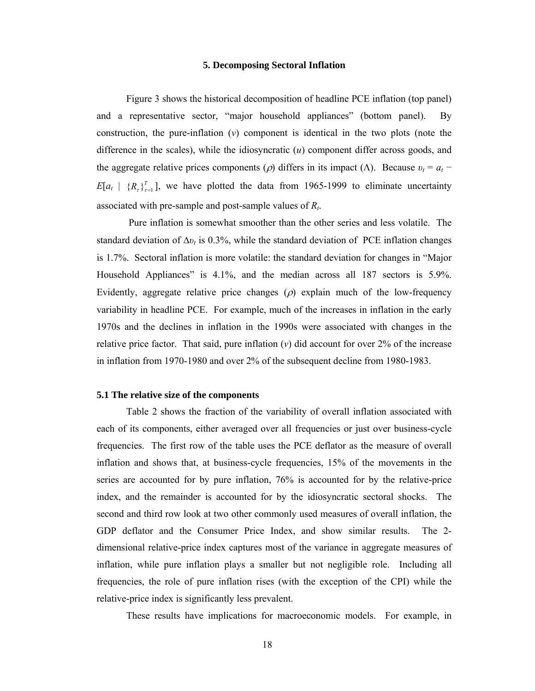#### **5. Decomposing Sectoral Inflation**

Figure 3 shows the historical decomposition of headline PCE inflation (top panel) and a representative sector, "major household appliances" (bottom panel). By construction, the pure-inflation (*v*) component is identical in the two plots (note the difference in the scales), while the idiosyncratic (*u*) component differ across goods, and the aggregate relative prices components ( $\rho$ ) differs in its impact ( $\Lambda$ ). Because  $v_t = a_t$  −  $E[a_t \mid \{R_t\}_{t=1}^T]$ , we have plotted the data from 1965-1999 to eliminate uncertainty associated with pre-sample and post-sample values of *Rt*.

 Pure inflation is somewhat smoother than the other series and less volatile. The standard deviation of  $\Delta v_t$  is 0.3%, while the standard deviation of PCE inflation changes is 1.7%. Sectoral inflation is more volatile: the standard deviation for changes in "Major Household Appliances" is 4.1%, and the median across all 187 sectors is 5.9%. Evidently, aggregate relative price changes  $(\rho)$  explain much of the low-frequency variability in headline PCE. For example, much of the increases in inflation in the early 1970s and the declines in inflation in the 1990s were associated with changes in the relative price factor. That said, pure inflation  $(v)$  did account for over 2% of the increase in inflation from 1970-1980 and over 2% of the subsequent decline from 1980-1983.

### **5.1 The relative size of the components**

Table 2 shows the fraction of the variability of overall inflation associated with each of its components, either averaged over all frequencies or just over business-cycle frequencies. The first row of the table uses the PCE deflator as the measure of overall inflation and shows that, at business-cycle frequencies, 15% of the movements in the series are accounted for by pure inflation, 76% is accounted for by the relative-price index, and the remainder is accounted for by the idiosyncratic sectoral shocks. The second and third row look at two other commonly used measures of overall inflation, the GDP deflator and the Consumer Price Index, and show similar results. The 2 dimensional relative-price index captures most of the variance in aggregate measures of inflation, while pure inflation plays a smaller but not negligible role. Including all frequencies, the role of pure inflation rises (with the exception of the CPI) while the relative-price index is significantly less prevalent.

These results have implications for macroeconomic models. For example, in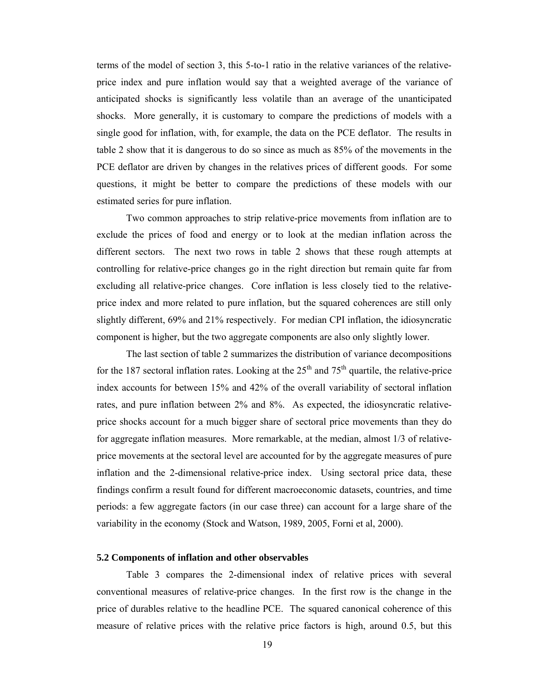terms of the model of section 3, this 5-to-1 ratio in the relative variances of the relativeprice index and pure inflation would say that a weighted average of the variance of anticipated shocks is significantly less volatile than an average of the unanticipated shocks. More generally, it is customary to compare the predictions of models with a single good for inflation, with, for example, the data on the PCE deflator. The results in table 2 show that it is dangerous to do so since as much as 85% of the movements in the PCE deflator are driven by changes in the relatives prices of different goods. For some questions, it might be better to compare the predictions of these models with our estimated series for pure inflation.

Two common approaches to strip relative-price movements from inflation are to exclude the prices of food and energy or to look at the median inflation across the different sectors. The next two rows in table 2 shows that these rough attempts at controlling for relative-price changes go in the right direction but remain quite far from excluding all relative-price changes. Core inflation is less closely tied to the relativeprice index and more related to pure inflation, but the squared coherences are still only slightly different, 69% and 21% respectively. For median CPI inflation, the idiosyncratic component is higher, but the two aggregate components are also only slightly lower.

The last section of table 2 summarizes the distribution of variance decompositions for the 187 sectoral inflation rates. Looking at the  $25<sup>th</sup>$  and  $75<sup>th</sup>$  quartile, the relative-price index accounts for between 15% and 42% of the overall variability of sectoral inflation rates, and pure inflation between 2% and 8%. As expected, the idiosyncratic relativeprice shocks account for a much bigger share of sectoral price movements than they do for aggregate inflation measures. More remarkable, at the median, almost 1/3 of relativeprice movements at the sectoral level are accounted for by the aggregate measures of pure inflation and the 2-dimensional relative-price index. Using sectoral price data, these findings confirm a result found for different macroeconomic datasets, countries, and time periods: a few aggregate factors (in our case three) can account for a large share of the variability in the economy (Stock and Watson, 1989, 2005, Forni et al, 2000).

### **5.2 Components of inflation and other observables**

Table 3 compares the 2-dimensional index of relative prices with several conventional measures of relative-price changes. In the first row is the change in the price of durables relative to the headline PCE. The squared canonical coherence of this measure of relative prices with the relative price factors is high, around 0.5, but this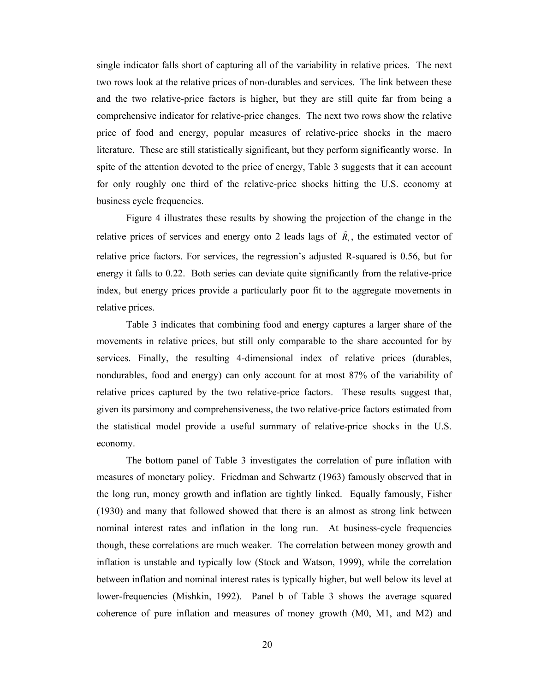single indicator falls short of capturing all of the variability in relative prices. The next two rows look at the relative prices of non-durables and services. The link between these and the two relative-price factors is higher, but they are still quite far from being a comprehensive indicator for relative-price changes. The next two rows show the relative price of food and energy, popular measures of relative-price shocks in the macro literature. These are still statistically significant, but they perform significantly worse. In spite of the attention devoted to the price of energy, Table 3 suggests that it can account for only roughly one third of the relative-price shocks hitting the U.S. economy at business cycle frequencies.

Figure 4 illustrates these results by showing the projection of the change in the relative prices of services and energy onto 2 leads lags of  $\hat{R}_{t}$ , the estimated vector of relative price factors. For services, the regression's adjusted R-squared is 0.56, but for energy it falls to 0.22. Both series can deviate quite significantly from the relative-price index, but energy prices provide a particularly poor fit to the aggregate movements in relative prices.

Table 3 indicates that combining food and energy captures a larger share of the movements in relative prices, but still only comparable to the share accounted for by services. Finally, the resulting 4-dimensional index of relative prices (durables, nondurables, food and energy) can only account for at most 87% of the variability of relative prices captured by the two relative-price factors. These results suggest that, given its parsimony and comprehensiveness, the two relative-price factors estimated from the statistical model provide a useful summary of relative-price shocks in the U.S. economy.

The bottom panel of Table 3 investigates the correlation of pure inflation with measures of monetary policy. Friedman and Schwartz (1963) famously observed that in the long run, money growth and inflation are tightly linked. Equally famously, Fisher (1930) and many that followed showed that there is an almost as strong link between nominal interest rates and inflation in the long run. At business-cycle frequencies though, these correlations are much weaker. The correlation between money growth and inflation is unstable and typically low (Stock and Watson, 1999), while the correlation between inflation and nominal interest rates is typically higher, but well below its level at lower-frequencies (Mishkin, 1992). Panel b of Table 3 shows the average squared coherence of pure inflation and measures of money growth (M0, M1, and M2) and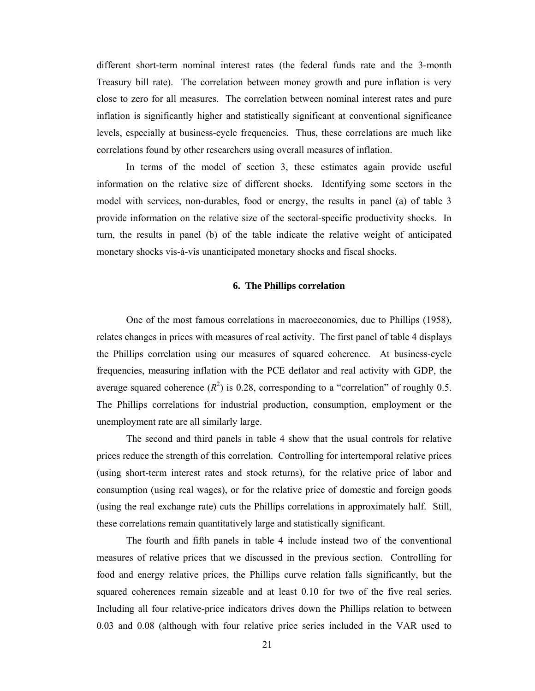different short-term nominal interest rates (the federal funds rate and the 3-month Treasury bill rate). The correlation between money growth and pure inflation is very close to zero for all measures. The correlation between nominal interest rates and pure inflation is significantly higher and statistically significant at conventional significance levels, especially at business-cycle frequencies. Thus, these correlations are much like correlations found by other researchers using overall measures of inflation.

In terms of the model of section 3, these estimates again provide useful information on the relative size of different shocks. Identifying some sectors in the model with services, non-durables, food or energy, the results in panel (a) of table 3 provide information on the relative size of the sectoral-specific productivity shocks. In turn, the results in panel (b) of the table indicate the relative weight of anticipated monetary shocks vis-à-vis unanticipated monetary shocks and fiscal shocks.

#### **6. The Phillips correlation**

One of the most famous correlations in macroeconomics, due to Phillips (1958), relates changes in prices with measures of real activity. The first panel of table 4 displays the Phillips correlation using our measures of squared coherence. At business-cycle frequencies, measuring inflation with the PCE deflator and real activity with GDP, the average squared coherence  $(R^2)$  is 0.28, corresponding to a "correlation" of roughly 0.5. The Phillips correlations for industrial production, consumption, employment or the unemployment rate are all similarly large.

The second and third panels in table 4 show that the usual controls for relative prices reduce the strength of this correlation. Controlling for intertemporal relative prices (using short-term interest rates and stock returns), for the relative price of labor and consumption (using real wages), or for the relative price of domestic and foreign goods (using the real exchange rate) cuts the Phillips correlations in approximately half. Still, these correlations remain quantitatively large and statistically significant.

The fourth and fifth panels in table 4 include instead two of the conventional measures of relative prices that we discussed in the previous section. Controlling for food and energy relative prices, the Phillips curve relation falls significantly, but the squared coherences remain sizeable and at least 0.10 for two of the five real series. Including all four relative-price indicators drives down the Phillips relation to between 0.03 and 0.08 (although with four relative price series included in the VAR used to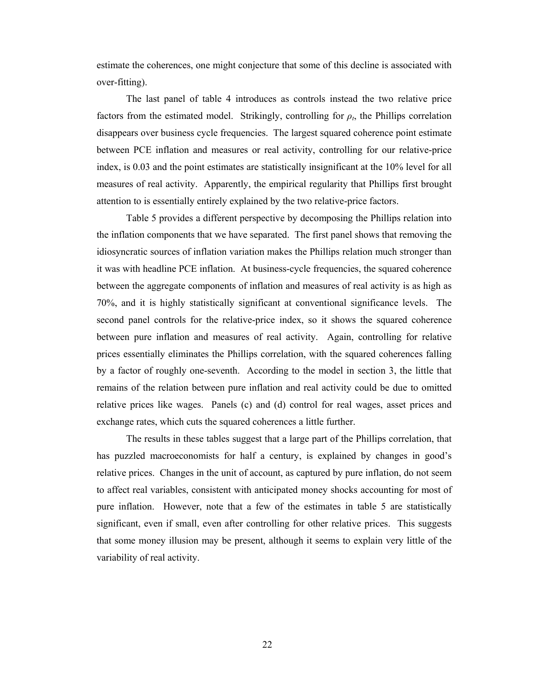estimate the coherences, one might conjecture that some of this decline is associated with over-fitting).

The last panel of table 4 introduces as controls instead the two relative price factors from the estimated model. Strikingly, controlling for  $\rho_t$ , the Phillips correlation disappears over business cycle frequencies. The largest squared coherence point estimate between PCE inflation and measures or real activity, controlling for our relative-price index, is 0.03 and the point estimates are statistically insignificant at the 10% level for all measures of real activity. Apparently, the empirical regularity that Phillips first brought attention to is essentially entirely explained by the two relative-price factors.

Table 5 provides a different perspective by decomposing the Phillips relation into the inflation components that we have separated. The first panel shows that removing the idiosyncratic sources of inflation variation makes the Phillips relation much stronger than it was with headline PCE inflation. At business-cycle frequencies, the squared coherence between the aggregate components of inflation and measures of real activity is as high as 70%, and it is highly statistically significant at conventional significance levels. The second panel controls for the relative-price index, so it shows the squared coherence between pure inflation and measures of real activity. Again, controlling for relative prices essentially eliminates the Phillips correlation, with the squared coherences falling by a factor of roughly one-seventh. According to the model in section 3, the little that remains of the relation between pure inflation and real activity could be due to omitted relative prices like wages. Panels (c) and (d) control for real wages, asset prices and exchange rates, which cuts the squared coherences a little further.

The results in these tables suggest that a large part of the Phillips correlation, that has puzzled macroeconomists for half a century, is explained by changes in good's relative prices. Changes in the unit of account, as captured by pure inflation, do not seem to affect real variables, consistent with anticipated money shocks accounting for most of pure inflation. However, note that a few of the estimates in table 5 are statistically significant, even if small, even after controlling for other relative prices. This suggests that some money illusion may be present, although it seems to explain very little of the variability of real activity.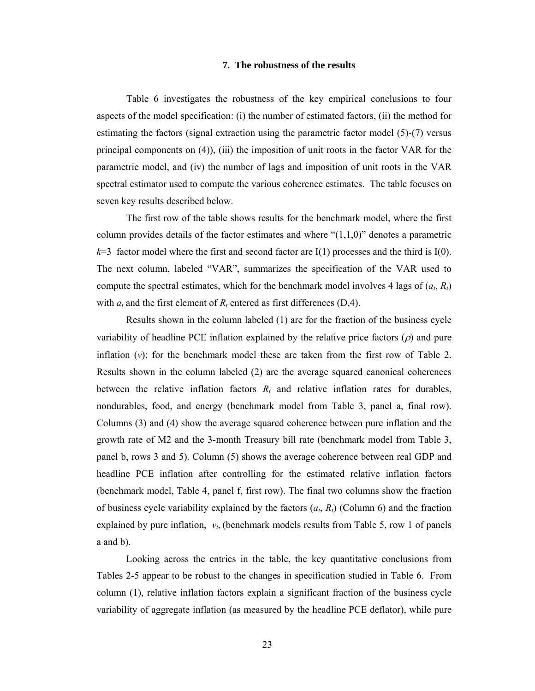#### **7. The robustness of the results**

Table 6 investigates the robustness of the key empirical conclusions to four aspects of the model specification: (i) the number of estimated factors, (ii) the method for estimating the factors (signal extraction using the parametric factor model (5)-(7) versus principal components on (4)), (iii) the imposition of unit roots in the factor VAR for the parametric model, and (iv) the number of lags and imposition of unit roots in the VAR spectral estimator used to compute the various coherence estimates. The table focuses on seven key results described below.

The first row of the table shows results for the benchmark model, where the first column provides details of the factor estimates and where " $(1,1,0)$ " denotes a parametric  $k=3$  factor model where the first and second factor are I(1) processes and the third is I(0). The next column, labeled "VAR", summarizes the specification of the VAR used to compute the spectral estimates, which for the benchmark model involves 4 lags of  $(a<sub>t</sub>, R<sub>t</sub>)$ with  $a_t$  and the first element of  $R_t$  entered as first differences (D,4).

Results shown in the column labeled (1) are for the fraction of the business cycle variability of headline PCE inflation explained by the relative price factors  $(\rho)$  and pure inflation (*v*); for the benchmark model these are taken from the first row of Table 2. Results shown in the column labeled (2) are the average squared canonical coherences between the relative inflation factors  $R_t$  and relative inflation rates for durables, nondurables, food, and energy (benchmark model from Table 3, panel a, final row). Columns (3) and (4) show the average squared coherence between pure inflation and the growth rate of M2 and the 3-month Treasury bill rate (benchmark model from Table 3, panel b, rows 3 and 5). Column (5) shows the average coherence between real GDP and headline PCE inflation after controlling for the estimated relative inflation factors (benchmark model, Table 4, panel f, first row). The final two columns show the fraction of business cycle variability explained by the factors  $(a_t, R_t)$  (Column 6) and the fraction explained by pure inflation,  $v_t$ , (benchmark models results from Table 5, row 1 of panels a and b).

Looking across the entries in the table, the key quantitative conclusions from Tables 2-5 appear to be robust to the changes in specification studied in Table 6. From column (1), relative inflation factors explain a significant fraction of the business cycle variability of aggregate inflation (as measured by the headline PCE deflator), while pure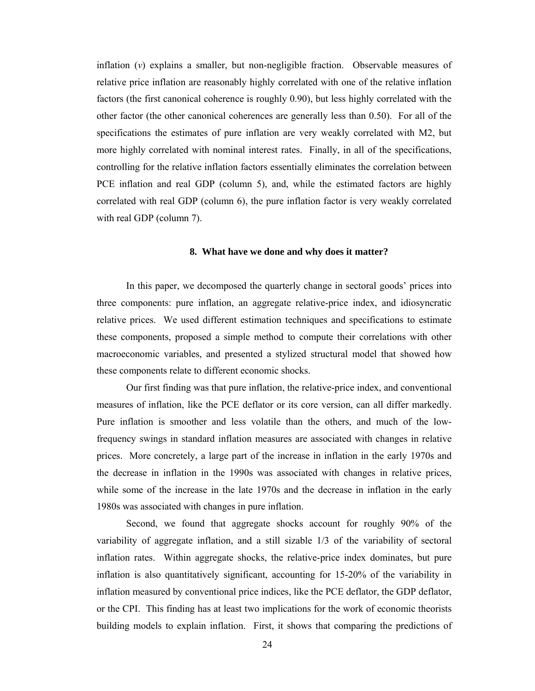inflation  $(v)$  explains a smaller, but non-negligible fraction. Observable measures of relative price inflation are reasonably highly correlated with one of the relative inflation factors (the first canonical coherence is roughly 0.90), but less highly correlated with the other factor (the other canonical coherences are generally less than 0.50). For all of the specifications the estimates of pure inflation are very weakly correlated with M2, but more highly correlated with nominal interest rates. Finally, in all of the specifications, controlling for the relative inflation factors essentially eliminates the correlation between PCE inflation and real GDP (column 5), and, while the estimated factors are highly correlated with real GDP (column 6), the pure inflation factor is very weakly correlated with real GDP (column 7).

#### **8. What have we done and why does it matter?**

 In this paper, we decomposed the quarterly change in sectoral goods' prices into three components: pure inflation, an aggregate relative-price index, and idiosyncratic relative prices. We used different estimation techniques and specifications to estimate these components, proposed a simple method to compute their correlations with other macroeconomic variables, and presented a stylized structural model that showed how these components relate to different economic shocks.

 Our first finding was that pure inflation, the relative-price index, and conventional measures of inflation, like the PCE deflator or its core version, can all differ markedly. Pure inflation is smoother and less volatile than the others, and much of the lowfrequency swings in standard inflation measures are associated with changes in relative prices. More concretely, a large part of the increase in inflation in the early 1970s and the decrease in inflation in the 1990s was associated with changes in relative prices, while some of the increase in the late 1970s and the decrease in inflation in the early 1980s was associated with changes in pure inflation.

Second, we found that aggregate shocks account for roughly 90% of the variability of aggregate inflation, and a still sizable 1/3 of the variability of sectoral inflation rates. Within aggregate shocks, the relative-price index dominates, but pure inflation is also quantitatively significant, accounting for 15-20% of the variability in inflation measured by conventional price indices, like the PCE deflator, the GDP deflator, or the CPI. This finding has at least two implications for the work of economic theorists building models to explain inflation. First, it shows that comparing the predictions of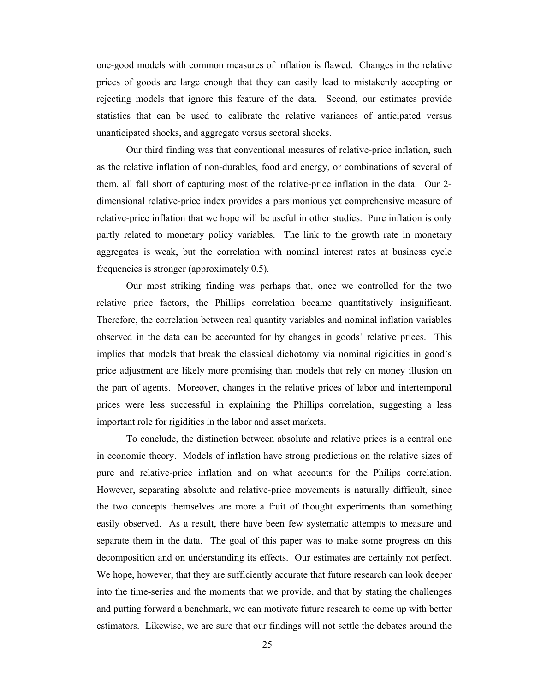one-good models with common measures of inflation is flawed. Changes in the relative prices of goods are large enough that they can easily lead to mistakenly accepting or rejecting models that ignore this feature of the data. Second, our estimates provide statistics that can be used to calibrate the relative variances of anticipated versus unanticipated shocks, and aggregate versus sectoral shocks.

Our third finding was that conventional measures of relative-price inflation, such as the relative inflation of non-durables, food and energy, or combinations of several of them, all fall short of capturing most of the relative-price inflation in the data. Our 2 dimensional relative-price index provides a parsimonious yet comprehensive measure of relative-price inflation that we hope will be useful in other studies. Pure inflation is only partly related to monetary policy variables. The link to the growth rate in monetary aggregates is weak, but the correlation with nominal interest rates at business cycle frequencies is stronger (approximately 0.5).

Our most striking finding was perhaps that, once we controlled for the two relative price factors, the Phillips correlation became quantitatively insignificant. Therefore, the correlation between real quantity variables and nominal inflation variables observed in the data can be accounted for by changes in goods' relative prices. This implies that models that break the classical dichotomy via nominal rigidities in good's price adjustment are likely more promising than models that rely on money illusion on the part of agents. Moreover, changes in the relative prices of labor and intertemporal prices were less successful in explaining the Phillips correlation, suggesting a less important role for rigidities in the labor and asset markets.

To conclude, the distinction between absolute and relative prices is a central one in economic theory. Models of inflation have strong predictions on the relative sizes of pure and relative-price inflation and on what accounts for the Philips correlation. However, separating absolute and relative-price movements is naturally difficult, since the two concepts themselves are more a fruit of thought experiments than something easily observed. As a result, there have been few systematic attempts to measure and separate them in the data. The goal of this paper was to make some progress on this decomposition and on understanding its effects. Our estimates are certainly not perfect. We hope, however, that they are sufficiently accurate that future research can look deeper into the time-series and the moments that we provide, and that by stating the challenges and putting forward a benchmark, we can motivate future research to come up with better estimators. Likewise, we are sure that our findings will not settle the debates around the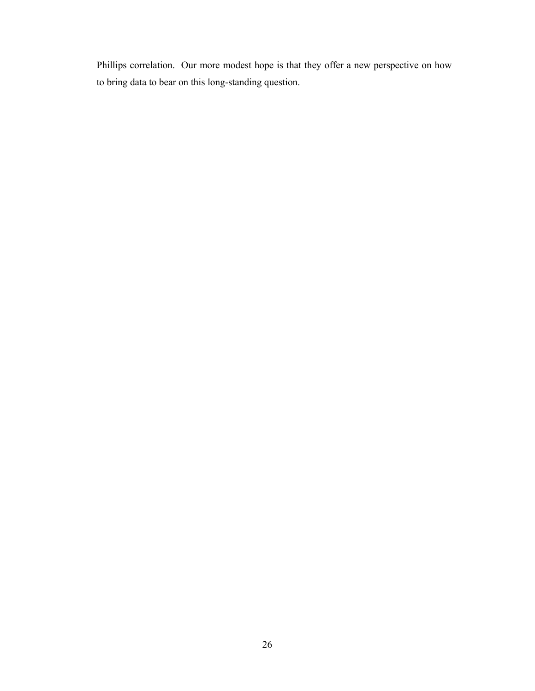Phillips correlation. Our more modest hope is that they offer a new perspective on how to bring data to bear on this long-standing question.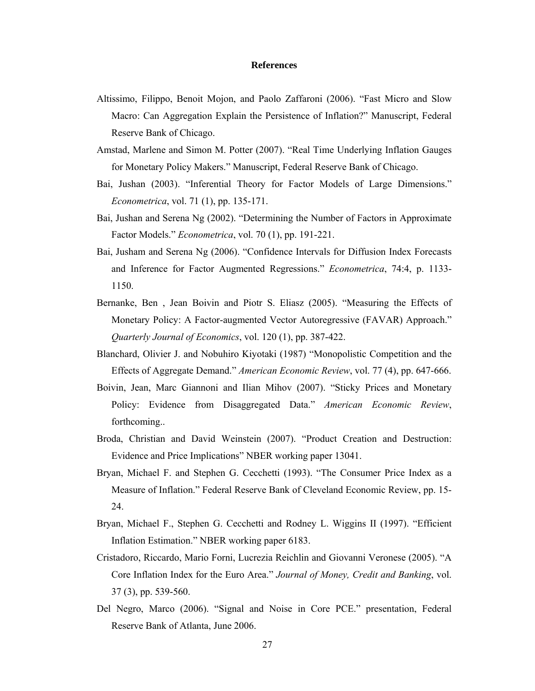#### **References**

- Altissimo, Filippo, Benoit Mojon, and Paolo Zaffaroni (2006). "Fast Micro and Slow Macro: Can Aggregation Explain the Persistence of Inflation?" Manuscript, Federal Reserve Bank of Chicago.
- Amstad, Marlene and Simon M. Potter (2007). "Real Time Underlying Inflation Gauges for Monetary Policy Makers." Manuscript, Federal Reserve Bank of Chicago.
- Bai, Jushan (2003). "Inferential Theory for Factor Models of Large Dimensions." *Econometrica*, vol. 71 (1), pp. 135-171.
- Bai, Jushan and Serena Ng (2002). "Determining the Number of Factors in Approximate Factor Models." *Econometrica*, vol. 70 (1), pp. 191-221.
- Bai, Jusham and Serena Ng (2006). "Confidence Intervals for Diffusion Index Forecasts and Inference for Factor Augmented Regressions." *Econometrica*, 74:4, p. 1133- 1150.
- Bernanke, Ben , Jean Boivin and Piotr S. Eliasz (2005). "Measuring the Effects of Monetary Policy: A Factor-augmented Vector Autoregressive (FAVAR) Approach." *Quarterly Journal of Economics*, vol. 120 (1), pp. 387-422.
- Blanchard, Olivier J. and Nobuhiro Kiyotaki (1987) "Monopolistic Competition and the Effects of Aggregate Demand." *American Economic Review*, vol. 77 (4), pp. 647-666.
- Boivin, Jean, Marc Giannoni and Ilian Mihov (2007). "Sticky Prices and Monetary Policy: Evidence from Disaggregated Data." *American Economic Review*, forthcoming..
- Broda, Christian and David Weinstein (2007). "Product Creation and Destruction: Evidence and Price Implications" NBER working paper 13041.
- Bryan, Michael F. and Stephen G. Cecchetti (1993). "The Consumer Price Index as a Measure of Inflation." Federal Reserve Bank of Cleveland Economic Review, pp. 15- 24.
- Bryan, Michael F., Stephen G. Cecchetti and Rodney L. Wiggins II (1997). "Efficient Inflation Estimation." NBER working paper 6183.
- Cristadoro, Riccardo, Mario Forni, Lucrezia Reichlin and Giovanni Veronese (2005). "A Core Inflation Index for the Euro Area." *Journal of Money, Credit and Banking*, vol. 37 (3), pp. 539-560.
- Del Negro, Marco (2006). "Signal and Noise in Core PCE." presentation, Federal Reserve Bank of Atlanta, June 2006.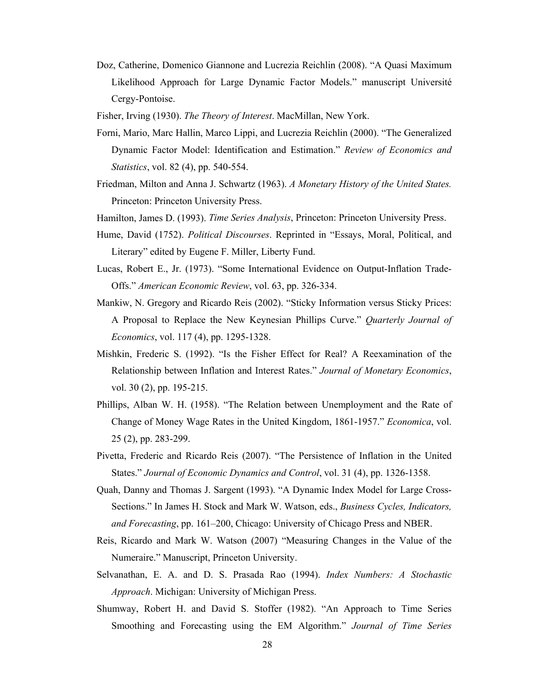- Doz, Catherine, Domenico Giannone and Lucrezia Reichlin (2008). "A Quasi Maximum Likelihood Approach for Large Dynamic Factor Models." manuscript Université Cergy-Pontoise.
- Fisher, Irving (1930). *The Theory of Interest*. MacMillan, New York.
- Forni, Mario, Marc Hallin, Marco Lippi, and Lucrezia Reichlin (2000). "The Generalized Dynamic Factor Model: Identification and Estimation." *Review of Economics and Statistics*, vol. 82 (4), pp. 540-554.
- Friedman, Milton and Anna J. Schwartz (1963). *A Monetary History of the United States.* Princeton: Princeton University Press.
- Hamilton, James D. (1993). *Time Series Analysis*, Princeton: Princeton University Press.
- Hume, David (1752). *Political Discourses*. Reprinted in "Essays, Moral, Political, and Literary" edited by Eugene F. Miller, Liberty Fund.
- Lucas, Robert E., Jr. (1973). "Some International Evidence on Output-Inflation Trade-Offs." *American Economic Review*, vol. 63, pp. 326-334.
- Mankiw, N. Gregory and Ricardo Reis (2002). "Sticky Information versus Sticky Prices: A Proposal to Replace the New Keynesian Phillips Curve." *Quarterly Journal of Economics*, vol. 117 (4), pp. 1295-1328.
- Mishkin, Frederic S. (1992). "Is the Fisher Effect for Real? A Reexamination of the Relationship between Inflation and Interest Rates." *Journal of Monetary Economics*, vol. 30 (2), pp. 195-215.
- Phillips, Alban W. H. (1958). "The Relation between Unemployment and the Rate of Change of Money Wage Rates in the United Kingdom, 1861-1957." *Economica*, vol. 25 (2), pp. 283-299.
- Pivetta, Frederic and Ricardo Reis (2007). "The Persistence of Inflation in the United States." *Journal of Economic Dynamics and Control*, vol. 31 (4), pp. 1326-1358.
- Quah, Danny and Thomas J. Sargent (1993). "A Dynamic Index Model for Large Cross-Sections." In James H. Stock and Mark W. Watson, eds., *Business Cycles, Indicators, and Forecasting*, pp. 161–200, Chicago: University of Chicago Press and NBER.
- Reis, Ricardo and Mark W. Watson (2007) "Measuring Changes in the Value of the Numeraire." Manuscript, Princeton University.
- Selvanathan, E. A. and D. S. Prasada Rao (1994). *Index Numbers: A Stochastic Approach*. Michigan: University of Michigan Press.
- Shumway, Robert H. and David S. Stoffer (1982). "An Approach to Time Series Smoothing and Forecasting using the EM Algorithm." *Journal of Time Series*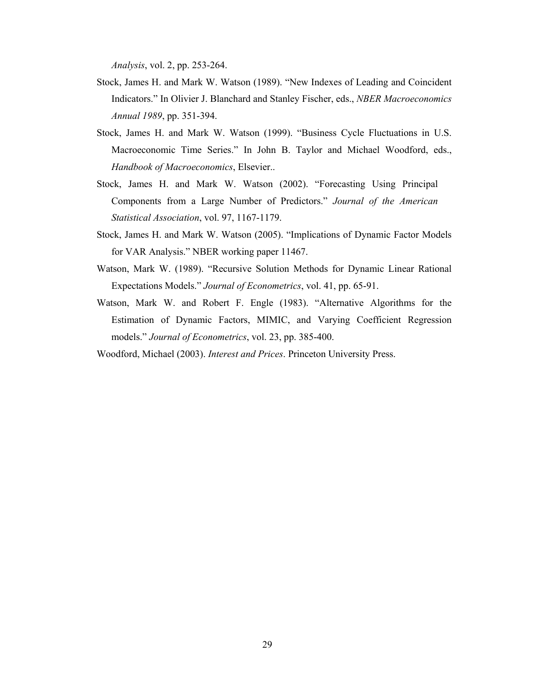*Analysis*, vol. 2, pp. 253-264.

- Stock, James H. and Mark W. Watson (1989). "New Indexes of Leading and Coincident Indicators." In Olivier J. Blanchard and Stanley Fischer, eds., *NBER Macroeconomics Annual 1989*, pp. 351-394.
- Stock, James H. and Mark W. Watson (1999). "Business Cycle Fluctuations in U.S. Macroeconomic Time Series." In John B. Taylor and Michael Woodford, eds., *Handbook of Macroeconomics*, Elsevier..
- Stock, James H. and Mark W. Watson (2002). "Forecasting Using Principal Components from a Large Number of Predictors." *Journal of the American Statistical Association*, vol. 97, 1167-1179.
- Stock, James H. and Mark W. Watson (2005). "Implications of Dynamic Factor Models for VAR Analysis." NBER working paper 11467.
- Watson, Mark W. (1989). "Recursive Solution Methods for Dynamic Linear Rational Expectations Models." *Journal of Econometrics*, vol. 41, pp. 65-91.
- Watson, Mark W. and Robert F. Engle (1983). "Alternative Algorithms for the Estimation of Dynamic Factors, MIMIC, and Varying Coefficient Regression models." *Journal of Econometrics*, vol. 23, pp. 385-400.

Woodford, Michael (2003). *Interest and Prices*. Princeton University Press.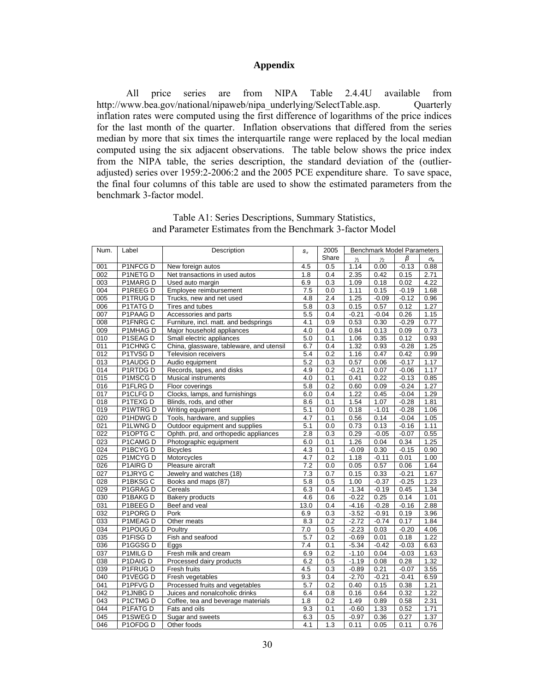## **Appendix**

All price series are from NIPA Table 2.4.4U available from http://www.bea.gov/national/nipaweb/nipa\_underlying/SelectTable.asp. Quarterly inflation rates were computed using the first difference of logarithms of the price indices for the last month of the quarter. Inflation observations that differed from the series median by more that six times the interquartile range were replaced by the local median computed using the six adjacent observations. The table below shows the price index from the NIPA table, the series description, the standard deviation of the (outlieradjusted) series over 1959:2-2006:2 and the 2005 PCE expenditure share. To save space, the final four columns of this table are used to show the estimated parameters from the benchmark 3-factor model.

| Num.             | Label               | Description                              |                  | 2005  | <b>Benchmark Model Parameters</b> |                |         |                  |
|------------------|---------------------|------------------------------------------|------------------|-------|-----------------------------------|----------------|---------|------------------|
|                  |                     |                                          |                  | Share | $\gamma_1$                        | $\mathcal{V}2$ | β       | $\sigma_{\rm e}$ |
| 001              | P1NFCG D            | New foreign autos                        | 4.5              | 0.5   | 1.14                              | 0.00           | $-0.13$ | 0.88             |
| 002              | P1NETG D            | Net transactions in used autos           | $\overline{1.8}$ | 0.4   | 2.35                              | 0.42           | 0.15    | 2.71             |
| 003              | P1MARG D            | Used auto margin                         | 6.9              | 0.3   | 1.09                              | 0.18           | 0.02    | 4.22             |
| 004              | P1REEGD             | Employee reimbursement                   | 7.5              | 0.0   | 1.11                              | 0.15           | $-0.19$ | 1.68             |
| 005              | P1TRUG D            | Trucks, new and net used                 | 4.8              | 2.4   | 1.25                              | $-0.09$        | $-0.12$ | 0.96             |
| 006              | P1TATG D            | Tires and tubes                          | 5.8              | 0.3   | 0.15                              | 0.57           | 0.12    | 1.27             |
| 007              | P1PAAG D            | Accessories and parts                    | 5.5              | 0.4   | $-0.21$                           | $-0.04$        | 0.26    | 1.15             |
| 008              | P1FNRG C            | Furniture, incl. matt. and bedsprings    | 4.1              | 0.9   | 0.53                              | 0.30           | $-0.29$ | 0.77             |
| 009              | P1MHAG D            | Major household appliances               | 4.0              | 0.4   | 0.84                              | 0.13           | 0.09    | 0.73             |
| 010              | P1SEAG D            | Small electric appliances                | 5.0              | 0.1   | 1.06                              | 0.35           | 0.12    | 0.93             |
| 011              | P1CHNG <sub>C</sub> | China, glassware, tableware, and utensil | 6.7              | 0.4   | 1.32                              | 0.93           | $-0.28$ | 1.25             |
| 012              | P1TVSG D            | <b>Television receivers</b>              | 5.4              | 0.2   | 1.16                              | 0.47           | 0.42    | 0.99             |
| 013              | P1AUDG D            | Audio equipment                          | $\overline{5.2}$ | 0.3   | 0.57                              | 0.06           | $-0.17$ | 1.17             |
| 014              | P1RTDG D            | Records, tapes, and disks                | 4.9              | 0.2   | $-0.21$                           | 0.07           | $-0.06$ | 1.17             |
| 015              | P1MSCG D            | Musical instruments                      | 4.0              | 0.1   | 0.41                              | 0.22           | $-0.13$ | 0.85             |
| 016              | P1FLRG D            | Floor coverings                          | 5.8              | 0.2   | 0.60                              | 0.09           | $-0.24$ | 1.27             |
| 017              | P1CLFG D            | Clocks, lamps, and furnishings           | 6.0              | 0.4   | 1.22                              | 0.45           | $-0.04$ | 1.29             |
| 018              | P1TEXGD             | Blinds, rods, and other                  | 8.6              | 0.1   | 1.54                              | 1.07           | $-0.28$ | 1.81             |
| 019              | P1WTRG D            | Writing equipment                        | 5.1              | 0.0   | 0.18                              | $-1.01$        | $-0.28$ | 1.06             |
| $\overline{020}$ | P1HDWG D            | Tools, hardware, and supplies            | 4.7              | 0.1   | 0.56                              | 0.14           | $-0.04$ | 1.05             |
| 021              | P1LWNG D            | Outdoor equipment and supplies           | 5.1              | 0.0   | 0.73                              | 0.13           | $-0.16$ | 1.11             |
| $\overline{022}$ | P1OPTG <sub>C</sub> | Ophth. prd, and orthopedic appliances    | $\overline{2.8}$ | 0.3   | 0.29                              | $-0.05$        | $-0.07$ | 0.55             |
| $\overline{023}$ | P1CAMG <sub>D</sub> | Photographic equipment                   | 6.0              | 0.1   | 1.26                              | 0.04           | 0.34    | 1.25             |
| 024              | P1BCYGD             | <b>Bicycles</b>                          | 4.3              | 0.1   | $-0.09$                           | 0.30           | $-0.15$ | 0.90             |
| 025              | P1MCYGD             | Motorcycles                              | 4.7              | 0.2   | 1.18                              | $-0.11$        | 0.01    | 1.00             |
| 026              | P1AIRG D            | Pleasure aircraft                        | $\overline{7.2}$ | 0.0   | 0.05                              | 0.57           | 0.06    | 1.64             |
| 027              | P1JRYG C            | Jewelry and watches (18)                 | 7.3              | 0.7   | 0.15                              | 0.33           | $-0.21$ | 1.67             |
| 028              | P1BKSG C            | Books and maps (87)                      | 5.8              | 0.5   | 1.00                              | $-0.37$        | $-0.25$ | 1.23             |
| $\overline{029}$ | P1GRAG D            | Cereals                                  | 6.3              | 0.4   | $-1.34$                           | $-0.19$        | 0.45    | 1.34             |
| 030              | P1BAKG D            | <b>Bakery products</b>                   | 4.6              | 0.6   | $-0.22$                           | 0.25           | 0.14    | 1.01             |
| 031              | P1BEEG D            | Beef and veal                            | 13.0             | 0.4   | $-4.16$                           | $-0.28$        | $-0.16$ | 2.88             |
| $\overline{032}$ | P1PORG D            | Pork                                     | 6.9              | 0.3   | $-3.52$                           | $-0.91$        | 0.19    | 3.96             |
| 033              | P1MEAG D            | Other meats                              | 8.3              | 0.2   | $-2.72$                           | $-0.74$        | 0.17    | 1.84             |
| 034              | P1POUG D            | Poultry                                  | $\overline{7.0}$ | 0.5   | $-2.23$                           | 0.03           | $-0.20$ | 4.06             |
| 035              | P1FISG D            | Fish and seafood                         | $\overline{5.7}$ | 0.2   | $-0.69$                           | 0.01           | 0.18    | 1.22             |
| 036              | P1GGSGD             | Eggs                                     | 7.4              | 0.1   | $-5.34$                           | $-0.42$        | $-0.03$ | 6.63             |
| 037              | P1MILG D            | Fresh milk and cream                     | 6.9              | 0.2   | $-1.10$                           | 0.04           | $-0.03$ | 1.63             |
| 038              | P1DAIG D            | Processed dairy products                 | 6.2              | 0.5   | $-1.19$                           | 0.08           | 0.28    | 1.32             |
| 039              | P1FRUG D            | Fresh fruits                             | 4.5              | 0.3   | $-0.89$                           | 0.21           | $-0.07$ | 3.55             |
| 040              | P1VEGG D            | Fresh vegetables                         | 9.3              | 0.4   | $-2.70$                           | $-0.21$        | $-0.41$ | 6.59             |
| 041              | P1PFVG D            | Processed fruits and vegetables          | 5.7              | 0.2   | 0.40                              | 0.15           | 0.38    | 1.21             |
| 042              | P1JNBG D            | Juices and nonalcoholic drinks           | 6.4              | 0.8   | 0.16                              | 0.64           | 0.32    | 1.22             |
| 043              | P1CTMG D            | Coffee, tea and beverage materials       | $\overline{1.8}$ | 0.2   | 1.49                              | 0.89           | 0.58    | 2.31             |
| 044              | P1FATG D            | Fats and oils                            | 9.3              | 0.1   | $-0.60$                           | 1.33           | 0.52    | 1.71             |
| 045              | P1SWEG D            | Sugar and sweets                         | 6.3              | 0.5   | $-0.97$                           | 0.36           | 0.27    | 1.37             |
| 046              | P1OFDG D            | Other foods                              | 4.1              | 1.3   | 0.11                              | 0.05           | 0.11    | 0.76             |

Table A1: Series Descriptions, Summary Statistics, and Parameter Estimates from the Benchmark 3-factor Model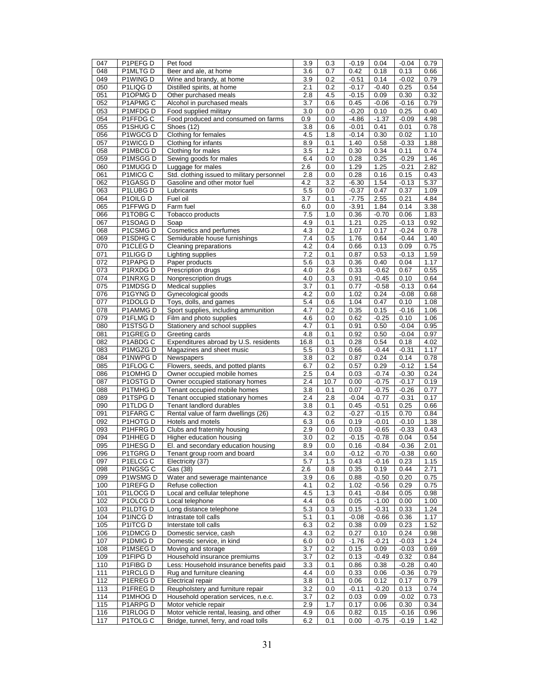| 047 | P1PEFGD             | Pet food                                   | 3.9  | 0.3  | $-0.19$ | 0.04    | $-0.04$ | 0.79 |
|-----|---------------------|--------------------------------------------|------|------|---------|---------|---------|------|
| 048 | P1MLTG D            | Beer and ale, at home                      | 3.6  | 0.7  | 0.42    | 0.18    | 0.13    | 0.66 |
| 049 | P1WING D            | Wine and brandy, at home                   | 3.9  | 0.2  | $-0.51$ | 0.14    | $-0.02$ | 0.79 |
| 050 | P1LIQG D            | Distilled spirits, at home                 | 2.1  | 0.2  | $-0.17$ | $-0.40$ | 0.25    | 0.54 |
| 051 | P1OPMGD             | Other purchased meals                      | 2.8  | 4.5  | $-0.15$ | 0.09    | 0.30    | 0.32 |
| 052 | P1APMG C            | Alcohol in purchased meals                 | 3.7  | 0.6  | 0.45    | $-0.06$ | $-0.16$ | 0.79 |
|     |                     |                                            |      |      |         |         |         |      |
| 053 | P1MFDGD             | Food supplied military                     | 3.0  | 0.0  | $-0.20$ | 0.10    | 0.25    | 0.40 |
| 054 | P1FFDG C            | Food produced and consumed on farms        | 0.9  | 0.0  | $-4.86$ | $-1.37$ | $-0.09$ | 4.98 |
| 055 | P1SHUG <sub>C</sub> | Shoes (12)                                 | 3.8  | 0.6  | $-0.01$ | 0.41    | 0.01    | 0.78 |
| 056 | P1WGCG D            | Clothing for females                       | 4.5  | 1.8  | $-0.14$ | 0.30    | 0.02    | 1.10 |
| 057 | P1WICG D            | Clothing for infants                       | 8.9  | 0.1  | 1.40    | 0.58    | $-0.33$ | 1.88 |
| 058 | P1MBCG D            | Clothing for males                         | 3.5  | 1.2  | 0.30    | 0.34    | 0.11    | 0.74 |
| 059 | P1MSGG D            | Sewing goods for males                     | 6.4  | 0.0  | 0.28    | 0.25    | $-0.29$ | 1.46 |
| 060 | P1MUGG D            | Luggage for males                          | 2.6  | 0.0  | 1.29    | 1.25    | $-0.21$ | 2.82 |
| 061 | P1MICG C            | Std. clothing issued to military personnel | 2.8  | 0.0  | 0.28    | 0.16    | 0.15    | 0.43 |
| 062 | P1GASG D            | Gasoline and other motor fuel              | 4.2  | 3.2  | $-6.30$ | 1.54    | $-0.13$ | 5.37 |
| 063 | P1LUBG D            | Lubricants                                 | 5.5  | 0.0  | $-0.37$ | 0.47    | 0.37    | 1.09 |
| 064 | P1OILG D            | Fuel oil                                   | 3.7  | 0.1  | $-7.75$ | 2.55    | 0.21    | 4.84 |
|     |                     |                                            |      |      |         |         |         |      |
| 065 | P1FFWG D            | Farm fuel                                  | 6.0  | 0.0  | $-3.91$ | 1.84    | 0.14    | 3.38 |
| 066 | P1TOBG C            | Tobacco products                           | 7.5  | 1.0  | 0.36    | $-0.70$ | 0.06    | 1.83 |
| 067 | P1SOAG D            | Soap                                       | 4.9  | 0.1  | 1.21    | 0.25    | $-0.13$ | 0.92 |
| 068 | P1CSMGD             | Cosmetics and perfumes                     | 4.3  | 0.2  | 1.07    | 0.17    | $-0.24$ | 0.78 |
| 069 | P1SDHG C            | Semidurable house furnishings              | 7.4  | 0.5  | 1.76    | 0.64    | $-0.44$ | 1.40 |
| 070 | P1CLEG D            | Cleaning preparations                      | 4.2  | 0.4  | 0.66    | 0.13    | 0.09    | 0.75 |
| 071 | P1LIGG D            | Lighting supplies                          | 7.2  | 0.1  | 0.87    | 0.53    | $-0.13$ | 1.59 |
| 072 | P1PAPG D            | Paper products                             | 5.6  | 0.3  | 0.36    | 0.40    | 0.04    | 1.17 |
| 073 | P1RXDGD             | Prescription drugs                         | 4.0  | 2.6  | 0.33    | $-0.62$ | 0.67    | 0.55 |
| 074 | P1NRXGD             | Nonprescription drugs                      | 4.0  | 0.3  | 0.91    | $-0.45$ | 0.10    | 0.64 |
| 075 | P1MDSG D            | Medical supplies                           | 3.7  | 0.1  | 0.77    | $-0.58$ | $-0.13$ | 0.64 |
| 076 | P1GYNG D            | Gynecological goods                        | 4.2  | 0.0  | 1.02    | 0.24    | $-0.08$ | 0.68 |
|     |                     |                                            |      |      |         |         |         |      |
| 077 | P1DOLG D            | Toys, dolls, and games                     | 5.4  | 0.6  | 1.04    | 0.47    | 0.10    | 1.08 |
| 078 | P1AMMGD             | Sport supplies, including ammunition       | 4.7  | 0.2  | 0.35    | 0.15    | $-0.16$ | 1.06 |
| 079 | P1FLMG D            | Film and photo supplies                    | 4.6  | 0.0  | 0.62    | $-0.25$ | 0.10    | 1.06 |
| 080 | P1STSG D            | Stationery and school supplies             | 4.7  | 0.1  | 0.91    | 0.50    | $-0.04$ | 0.95 |
| 081 | P1GREG D            | Greeting cards                             | 4.8  | 0.1  | 0.92    | 0.50    | $-0.04$ | 0.97 |
| 082 | P1ABDG C            | Expenditures abroad by U.S. residents      | 16.8 | 0.1  | 0.28    | 0.54    | 0.18    | 4.02 |
| 083 | P1MGZGD             | Magazines and sheet music                  | 5.5  | 0.3  | 0.66    | $-0.44$ | $-0.31$ | 1.17 |
| 084 | P1NWPG D            | Newspapers                                 | 3.8  | 0.2  | 0.87    | 0.24    | 0.14    | 0.78 |
| 085 | P1FLOG C            | Flowers, seeds, and potted plants          | 6.7  | 0.2  | 0.57    | 0.29    | $-0.12$ | 1.54 |
| 086 | P1OMHG D            | Owner occupied mobile homes                | 2.5  | 0.4  | 0.03    | $-0.74$ | $-0.30$ | 0.24 |
| 087 | P1OSTG D            | Owner occupied stationary homes            | 2.4  | 10.7 | 0.00    | $-0.75$ | $-0.17$ | 0.19 |
| 088 | P1TMHG D            | Tenant occupied mobile homes               | 3.8  | 0.1  | 0.07    | $-0.75$ | $-0.26$ | 0.77 |
|     |                     |                                            |      |      |         | $-0.77$ |         | 0.17 |
| 089 | P1TSPG D            | Tenant occupied stationary homes           | 2.4  | 2.8  | $-0.04$ |         | $-0.31$ |      |
| 090 | P1TLDG D            | Tenant landlord durables                   | 3.8  | 0.1  | 0.45    | $-0.51$ | 0.25    | 0.66 |
| 091 | P1FARG C            | Rental value of farm dwellings (26)        | 4.3  | 0.2  | $-0.27$ | $-0.15$ | 0.70    | 0.84 |
| 092 | P1HOTG D            | Hotels and motels                          | 6.3  | 0.6  | 0.19    | $-0.01$ | $-0.10$ | 1.38 |
| 093 | P1HFRG D            | Clubs and fraternity housing               | 2.9  | 0.0  | 0.03    | $-0.65$ | $-0.33$ | 0.43 |
| 094 | P1HHEG D            | Higher education housing                   | 3.0  | 0.2  | $-0.15$ | $-0.78$ | 0.04    | 0.54 |
| 095 | P1HESG D            | El. and secondary education housing        | 8.9  | 0.0  | 0.16    | $-0.84$ | $-0.36$ | 2.01 |
| 096 | P1TGRG D            | Tenant group room and board                | 3.4  | 0.0  | $-0.12$ | $-0.70$ | $-0.38$ | 0.60 |
| 097 | P1ELCG C            | Electricity (37)                           | 5.7  | 1.5  | 0.43    | $-0.16$ | 0.23    | 1.15 |
| 098 | P1NGSG C            | Gas (38)                                   | 2.6  | 0.8  | 0.35    | 0.19    | 0.44    | 2.71 |
| 099 | P1WSMG D            | Water and sewerage maintenance             | 3.9  | 0.6  | 0.88    | $-0.50$ | 0.20    | 0.75 |
| 100 | P1REFG D            | Refuse collection                          | 4.1  | 0.2  | 1.02    | $-0.56$ | 0.29    | 0.75 |
| 101 | P1LOCG D            | Local and cellular telephone               | 4.5  | 1.3  | 0.41    | $-0.84$ | 0.05    | 0.98 |
| 102 | P1OLCG D            | Local telephone                            | 4.4  |      | 0.05    | $-1.00$ | 0.00    |      |
|     |                     |                                            |      | 0.6  |         |         |         | 1.00 |
| 103 | P1LDTGD             | Long distance telephone                    | 5.3  | 0.3  | 0.15    | $-0.31$ | 0.33    | 1.24 |
| 104 | P1INCG D            | Intrastate toll calls                      | 5.1  | 0.1  | $-0.08$ | $-0.66$ | 0.36    | 1.17 |
| 105 | P1ITCG D            | Interstate toll calls                      | 6.3  | 0.2  | 0.38    | 0.09    | 0.23    | 1.52 |
| 106 | P1DMCG D            | Domestic service, cash                     | 4.3  | 0.2  | 0.27    | 0.10    | 0.24    | 0.98 |
| 107 | P1DMIG D            | Domestic service, in kind                  | 6.0  | 0.0  | $-1.76$ | $-0.21$ | $-0.03$ | 1.24 |
| 108 | P1MSEG D            | Moving and storage                         | 3.7  | 0.2  | 0.15    | 0.09    | $-0.03$ | 0.69 |
| 109 | P1FIPG D            | Household insurance premiums               | 3.7  | 0.2  | 0.13    | $-0.49$ | 0.32    | 0.84 |
| 110 | P1FIBG D            | Less: Household insurance benefits paid    | 3.3  | 0.1  | 0.86    | 0.38    | $-0.28$ | 0.40 |
| 111 | P1RCLG D            | Rug and furniture cleaning                 | 4.4  | 0.0  | 0.33    | 0.06    | $-0.36$ | 0.79 |
| 112 | P1EREGD             | Electrical repair                          | 3.8  | 0.1  | 0.06    | 0.12    | 0.17    | 0.79 |
| 113 | P1FREG D            | Reupholstery and furniture repair          | 3.2  | 0.0  | $-0.11$ | $-0.20$ | 0.13    | 0.74 |
| 114 | P1MHOG D            |                                            | 3.7  | 0.2  | 0.03    | 0.09    | $-0.02$ | 0.73 |
|     |                     | Household operation services, n.e.c.       |      |      |         |         |         |      |
| 115 | P1ARPG D            | Motor vehicle repair                       | 2.9  | 1.7  | 0.17    | 0.06    | 0.30    | 0.34 |
| 116 | P1RLOG D            | Motor vehicle rental, leasing, and other   | 4.9  | 0.6  | 0.82    | 0.15    | $-0.16$ | 0.96 |
| 117 | P1TOLG C            | Bridge, tunnel, ferry, and road tolls      | 6.2  | 0.1  | 0.00    | $-0.75$ | -0.19   | 1.42 |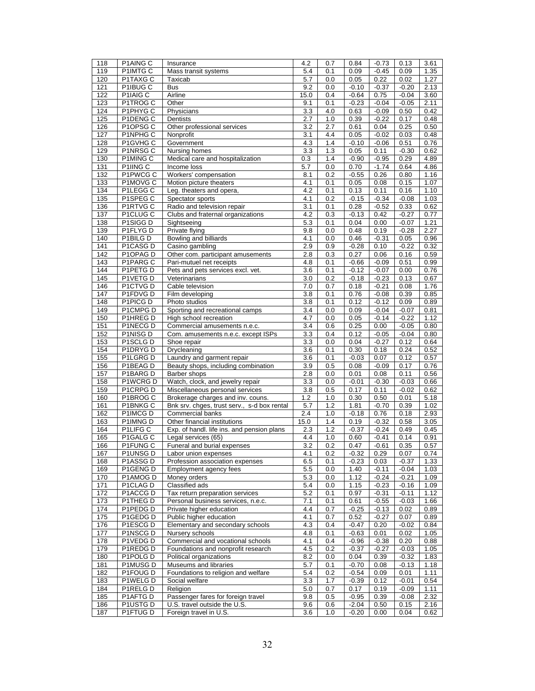| 118        | P1AING C             | Insurance                                               | 4.2        | 0.7 | 0.84    | $-0.73$ | 0.13    | 3.61 |
|------------|----------------------|---------------------------------------------------------|------------|-----|---------|---------|---------|------|
| 119        | P1IMTG C             | Mass transit systems                                    | 5.4        | 0.1 | 0.09    | $-0.45$ | 0.09    | 1.35 |
| 120        | P1TAXG C             | Taxicab                                                 | 5.7        | 0.0 | 0.05    | 0.22    | 0.02    | 1.27 |
| 121        | P1IBUG <sub>C</sub>  | <b>Bus</b>                                              | 9.2        | 0.0 | $-0.10$ | $-0.37$ | $-0.20$ | 2.13 |
| 122        | P1IAIG <sub>C</sub>  | Airline                                                 | 15.0       | 0.4 | $-0.64$ | 0.75    | $-0.04$ | 3.60 |
| 123        | P1TROG C             | Other                                                   | 9.1        | 0.1 | $-0.23$ | $-0.04$ | $-0.05$ | 2.11 |
| 124        | P1PHYG C             | Physicians                                              | 3.3        | 4.0 | 0.63    | $-0.09$ | 0.50    | 0.42 |
| 125        | P1DENG C             | Dentists                                                | 2.7        | 1.0 | 0.39    | $-0.22$ | 0.17    | 0.48 |
| 126        | P1OPSG C             | Other professional services                             | 3.2        | 2.7 | 0.61    | 0.04    | 0.25    | 0.50 |
| 127        | P1NPHG C             | Nonprofit                                               | 3.1        | 4.4 | 0.05    | $-0.02$ | 0.03    | 0.48 |
| 128        | P1GVHG C             | Government                                              | 4.3        | 1.4 | $-0.10$ | $-0.06$ | 0.51    | 0.76 |
| 129        | P1NRSG C             | Nursing homes                                           | 3.3        | 1.3 | 0.05    | 0.11    | $-0.30$ | 0.62 |
| 130        | P1MING C             | Medical care and hospitalization                        | 0.3        | 1.4 | $-0.90$ | $-0.95$ | 0.29    | 4.89 |
| 131        | P1IING C             | Income loss                                             | 5.7        | 0.0 | 0.70    | $-1.74$ | 0.64    | 4.86 |
| 132        | P1PWCG C             | Workers' compensation                                   | 8.1        | 0.2 | $-0.55$ | 0.26    | 0.80    | 1.16 |
| 133        | P1MOVG C             | Motion picture theaters                                 | 4.1        | 0.1 | 0.05    | 0.08    | 0.15    | 1.07 |
| 134        | P1LEGG C             | Leg. theaters and opera,                                | 4.2        | 0.1 | 0.13    | 0.11    | 0.16    | 1.10 |
| 135        | P1SPEG C             | Spectator sports                                        | 4.1        | 0.2 | $-0.15$ | $-0.34$ | $-0.08$ | 1.03 |
|            |                      | Radio and television repair                             |            |     |         |         |         |      |
| 136<br>137 | P1RTVG C             | Clubs and fraternal organizations                       | 3.1<br>4.2 | 0.1 | 0.28    | $-0.52$ | 0.33    | 0.62 |
|            | P1CLUG <sub>C</sub>  |                                                         |            | 0.3 | $-0.13$ | 0.42    | $-0.27$ | 0.77 |
| 138        | P1SIGG D             | Sightseeing                                             | 5.3        | 0.1 | 0.04    | 0.00    | $-0.07$ | 1.21 |
| 139        | P1FLYGD              | Private flying                                          | 9.8        | 0.0 | 0.48    | 0.19    | $-0.28$ | 2.27 |
| 140        | P1BILG D             | Bowling and billiards                                   | 4.1        | 0.0 | 0.46    | $-0.31$ | 0.05    | 0.96 |
| 141        | P1CASG D             | Casino gambling                                         | 2.9        | 0.9 | $-0.28$ | 0.10    | $-0.22$ | 0.32 |
| 142        | P1OPAG D             | Other com. participant amusements                       | 2.8        | 0.3 | 0.27    | 0.06    | 0.16    | 0.59 |
| 143        | P1PARG C             | Pari-mutuel net receipts                                | 4.8        | 0.1 | $-0.66$ | $-0.09$ | 0.51    | 0.99 |
| 144        | P1PETG D             | Pets and pets services excl. vet.                       | 3.6        | 0.1 | $-0.12$ | $-0.07$ | 0.00    | 0.76 |
| 145        | P1VETGD              | Veterinarians                                           | 3.0        | 0.2 | $-0.18$ | $-0.23$ | 0.13    | 0.67 |
| 146        | P1CTVG D             | Cable television                                        | 7.0        | 0.7 | 0.18    | $-0.21$ | 0.08    | 1.76 |
| 147        | P1FDVG D             | Film developing                                         | 3.8        | 0.1 | 0.76    | $-0.08$ | 0.39    | 0.85 |
| 148        | P1PICG D             | Photo studios                                           | 3.8        | 0.1 | 0.12    | $-0.12$ | 0.09    | 0.89 |
| 149        | P1CMPG D             | Sporting and recreational camps                         | 3.4        | 0.0 | 0.09    | $-0.04$ | $-0.07$ | 0.81 |
| 150        | P1HREG D             | High school recreation                                  | 4.7        | 0.0 | 0.05    | $-0.14$ | $-0.22$ | 1.12 |
| 151        | P1NECG D             | Commercial amusements n.e.c.                            | 3.4        | 0.6 | 0.25    | 0.00    | $-0.05$ | 0.80 |
| 152        | P1NISG D             | Com. amusements n.e.c. except ISPs                      | 3.3        | 0.4 | 0.12    | $-0.05$ | $-0.04$ | 0.80 |
| 153        | P1SCLG D             | Shoe repair                                             | 3.3        | 0.0 | 0.04    | $-0.27$ | 0.12    | 0.64 |
| 154        | P1DRYGD              | Drycleaning                                             | 3.6        | 0.1 | 0.30    | 0.18    | 0.24    | 0.52 |
| 155        | P1LGRGD              | Laundry and garment repair                              | 3.6        | 0.1 | $-0.03$ | 0.07    | 0.12    | 0.57 |
| 156        | P1BEAG D             | Beauty shops, including combination                     | 3.9        | 0.5 | 0.08    | $-0.09$ | 0.17    | 0.76 |
| 157        | P1BARG D             | Barber shops                                            | 2.8        | 0.0 | 0.01    | 0.08    | 0.11    | 0.56 |
| 158        | P1WCRG D             | Watch, clock, and jewelry repair                        | 3.3        | 0.0 | $-0.01$ | $-0.30$ | $-0.03$ | 0.66 |
| 159        | P1CRPGD              | Miscellaneous personal services                         | 3.8        | 0.5 | 0.17    | 0.11    | $-0.02$ | 0.62 |
| 160        | P1BROG C             | Brokerage charges and inv. couns.                       | 1.2        | 1.0 | 0.30    | 0.50    | 0.01    | 5.18 |
| 161        | P1BNKG C             | Bnk srv. chges, trust serv., s-d box rental             | 5.7        | 1.2 | 1.81    | $-0.70$ | 0.39    | 1.02 |
| 162        | P1IMCG D             | Commercial banks                                        | 2.4        | 1.0 | $-0.18$ | 0.76    | 0.18    | 2.93 |
| 163        | P1IMNG D             | Other financial institutions                            | 15.0       | 1.4 | 0.19    | $-0.32$ | 0.58    | 3.05 |
| 164        | P1LIFG C             | Exp. of handl. life ins. and pension plans              | 2.3        | 1.2 | $-0.37$ | $-0.24$ | 0.49    | 0.45 |
| 165        | P1GALG C             | Legal services (65)                                     | 4.4        | 1.0 | 0.60    | $-0.41$ | 0.14    | 0.91 |
| 166        | P1FUNG C             | Funeral and burial expenses                             | 3.2        | 0.2 | 0.47    | $-0.61$ | 0.35    | 0.57 |
| 167        | P1UNSG D             |                                                         | 4.1        | 0.2 | $-0.32$ | 0.29    | 0.07    | 0.74 |
| 168        | P1ASSG D             | Labor union expenses<br>Profession association expenses | 6.5        | 0.1 | $-0.23$ | 0.03    | $-0.37$ | 1.33 |
|            |                      |                                                         |            |     |         |         |         |      |
| 169        | P1GENG D<br>P1AMOG D | Employment agency fees                                  | 5.5        | 0.0 | 1.40    | $-0.11$ | $-0.04$ | 1.03 |
| 170        |                      | Money orders                                            | 5.3        | 0.0 | 1.12    | $-0.24$ | $-0.21$ | 1.09 |
| 171        | P1CLAG D             | Classified ads                                          | 5.4        | 0.0 | 1.15    | $-0.23$ | $-0.16$ | 1.09 |
| 172        | P1ACCG D             | Tax return preparation services                         | 5.2        | 0.1 | 0.97    | $-0.31$ | $-0.11$ | 1.12 |
| 173        | P1THEG D             | Personal business services, n.e.c.                      | 7.1        | 0.1 | 0.61    | $-0.55$ | $-0.03$ | 1.66 |
| 174        | P1PEDG D             | Private higher education                                | 4.4        | 0.7 | $-0.25$ | $-0.13$ | 0.02    | 0.89 |
| 175        | P1GEDGD              | Public higher education                                 | 4.1        | 0.7 | 0.52    | $-0.27$ | 0.07    | 0.89 |
| 176        | P1ESCG D             | Elementary and secondary schools                        | 4.3        | 0.4 | $-0.47$ | 0.20    | $-0.02$ | 0.84 |
| 177        | P1NSCG D             | Nursery schools                                         | 4.8        | 0.1 | $-0.63$ | 0.01    | 0.02    | 1.05 |
| 178        | P1VEDG D             | Commercial and vocational schools                       | 4.1        | 0.4 | $-0.96$ | $-0.38$ | 0.20    | 0.88 |
| 179        | P1REDG D             | Foundations and nonprofit research                      | 4.5        | 0.2 | $-0.37$ | $-0.27$ | $-0.03$ | 1.05 |
| 180        | P1POLG D             | Political organizations                                 | 8.2        | 0.0 | 0.04    | 0.39    | $-0.32$ | 1.83 |
| 181        | P1MUSG D             | Museums and libraries                                   | 5.7        | 0.1 | $-0.70$ | 0.08    | $-0.13$ | 1.18 |
| 182        | P1FOUG D             | Foundations to religion and welfare                     | 5.4        | 0.2 | $-0.54$ | 0.09    | 0.01    | 1.11 |
| 183        | P1WELG D             | Social welfare                                          | 3.3        | 1.7 | $-0.39$ | 0.12    | $-0.01$ | 0.54 |
| 184        | P1RELG D             | Religion                                                | 5.0        | 0.7 | 0.17    | 0.19    | $-0.09$ | 1.11 |
| 185        | P1AFTG D             | Passenger fares for foreign travel                      | 9.8        | 0.5 | $-0.95$ | 0.39    | $-0.08$ | 2.32 |
| 186        | P1USTG D             | U.S. travel outside the U.S.                            | 9.6        | 0.6 | $-2.04$ | 0.50    | 0.15    | 2.16 |
| 187        | P1FTUG D             | Foreign travel in U.S.                                  | 3.6        | 1.0 | $-0.20$ | 0.00    | 0.04    | 0.62 |
|            |                      |                                                         |            |     |         |         |         |      |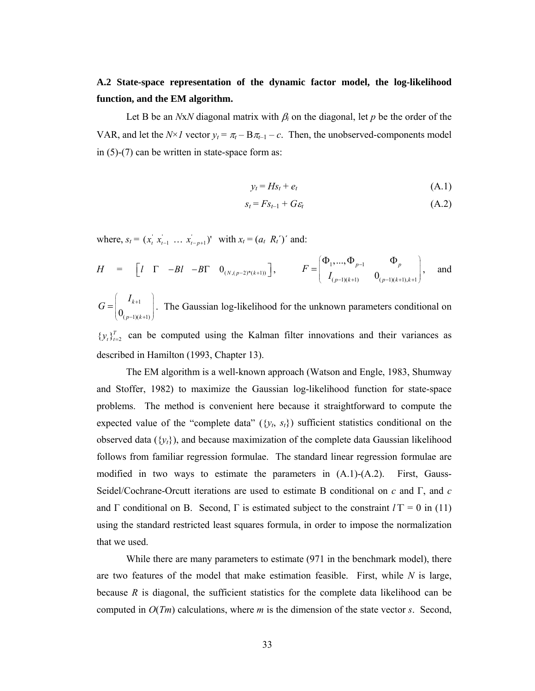# **A.2 State-space representation of the dynamic factor model, the log-likelihood function, and the EM algorithm.**

Let B be an *NxN* diagonal matrix with  $\beta_i$  on the diagonal, let p be the order of the VAR, and let the  $N \times 1$  vector  $y_t = \pi_t - B \pi_{t-1} - c$ . Then, the unobserved-components model in (5)-(7) can be written in state-space form as:

$$
y_t = Hs_t + e_t \tag{A.1}
$$

$$
s_t = Fs_{t-1} + G\varepsilon_t \tag{A.2}
$$

where,  $s_t = (x_t, x_{t-1}, \ldots, x_{t-p+1})'$  with  $x_t = (a_t, R_t')'$  and:

$$
H = \begin{bmatrix} l & \Gamma & -Bl & -B\Gamma & 0_{(N,(p-2)^*(k+1))} \end{bmatrix}, \qquad F = \begin{bmatrix} \Phi_1, ..., \Phi_{p-1} & \Phi_p \\ I_{(p-1)(k+1)} & 0_{(p-1)(k+1),k+1} \end{bmatrix}, \text{ and}
$$

1  $0_{(p-1)(k+1)}$ *k p k I*  $G = \begin{pmatrix} I_{k+1} \\ 0_{(p-1)(k+1)} \end{pmatrix}$  $=$   $\int_{0}^{-k+1}$  . The Gaussian log-likelihood for the unknown parameters conditional on

 ${y<sub>t</sub>}<sub>t=2</sub><sup>T</sup>$  can be computed using the Kalman filter innovations and their variances as described in Hamilton (1993, Chapter 13).

The EM algorithm is a well-known approach (Watson and Engle, 1983, Shumway and Stoffer, 1982) to maximize the Gaussian log-likelihood function for state-space problems. The method is convenient here because it straightforward to compute the expected value of the "complete data"  $({y_t, s_t})$  sufficient statistics conditional on the observed data  $({y_i})$ , and because maximization of the complete data Gaussian likelihood follows from familiar regression formulae. The standard linear regression formulae are modified in two ways to estimate the parameters in  $(A.1)-(A.2)$ . First, Gauss-Seidel/Cochrane-Orcutt iterations are used to estimate B conditional on *c* and Γ, and *c*  and  $\Gamma$  conditional on B. Second,  $\Gamma$  is estimated subject to the constraint  $l\Gamma = 0$  in (11) using the standard restricted least squares formula, in order to impose the normalization that we used.

While there are many parameters to estimate (971 in the benchmark model), there are two features of the model that make estimation feasible. First, while *N* is large, because  $R$  is diagonal, the sufficient statistics for the complete data likelihood can be computed in *O*(*Tm*) calculations, where *m* is the dimension of the state vector *s*. Second,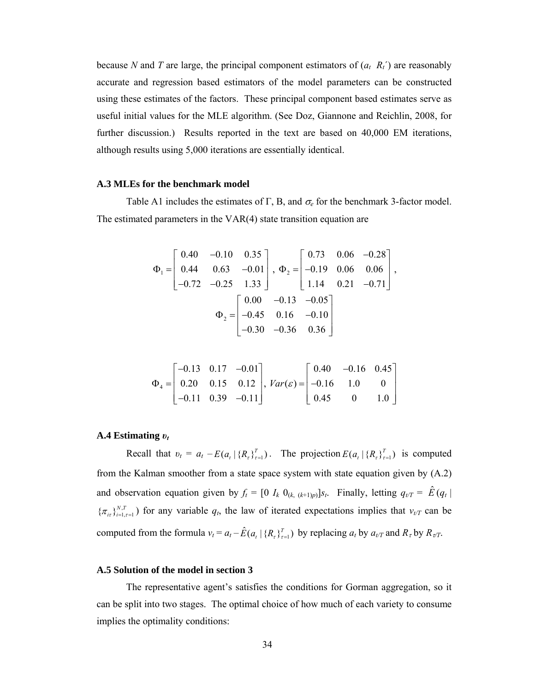because *N* and *T* are large, the principal component estimators of  $(a_t, R_t)$  are reasonably accurate and regression based estimators of the model parameters can be constructed using these estimates of the factors. These principal component based estimates serve as useful initial values for the MLE algorithm. (See Doz, Giannone and Reichlin, 2008, for further discussion.) Results reported in the text are based on 40,000 EM iterations, although results using 5,000 iterations are essentially identical.

#### **A.3 MLEs for the benchmark model**

Table A1 includes the estimates of  $\Gamma$ , B, and  $\sigma$ <sub>e</sub> for the benchmark 3-factor model. The estimated parameters in the VAR(4) state transition equation are

$$
\Phi_1 = \begin{bmatrix} 0.40 & -0.10 & 0.35 \\ 0.44 & 0.63 & -0.01 \\ -0.72 & -0.25 & 1.33 \end{bmatrix}, \Phi_2 = \begin{bmatrix} 0.73 & 0.06 & -0.28 \\ -0.19 & 0.06 & 0.06 \\ 1.14 & 0.21 & -0.71 \end{bmatrix},
$$

$$
\Phi_2 = \begin{bmatrix} 0.00 & -0.13 & -0.05 \\ -0.45 & 0.16 & -0.10 \\ -0.30 & -0.36 & 0.36 \end{bmatrix}
$$

$$
\Phi_4 = \begin{bmatrix} -0.13 & 0.17 & -0.01 \\ 0.20 & 0.15 & 0.12 \\ -0.11 & 0.39 & -0.11 \end{bmatrix}, \text{Var}(\varepsilon) = \begin{bmatrix} 0.40 & -0.16 & 0.45 \\ -0.16 & 1.0 & 0 \\ 0.45 & 0 & 1.0 \end{bmatrix}
$$

#### **A.4 Estimating** *υ<sup>t</sup>*

Recall that  $v_t = a_t - E(a_t | {R_t}_{t=1}^T)$ . The projection  $E(a_t | {R_t}_{t=1}^T)$  is computed from the Kalman smoother from a state space system with state equation given by (A.2) and observation equation given by  $f_t = [0 \, I_k \, 0_{(k, (k+1)p)}]s_t$ . Finally, letting  $q_{t/T} = \hat{E}(q_t)$  $\{\pi_{ir}\}_{i=1,\tau=1}^{N,T}$  for any variable  $q_t$ , the law of iterated expectations implies that  $v_{t/T}$  can be computed from the formula  $v_t = a_t - \hat{E}(a_t | {R_t}_{\tau=1}^T)$  by replacing  $a_t$  by  $a_{t/T}$  and  $R_{\tau}$  by  $R_{\tau/T}$ .

#### **A.5 Solution of the model in section 3**

 The representative agent's satisfies the conditions for Gorman aggregation, so it can be split into two stages. The optimal choice of how much of each variety to consume implies the optimality conditions: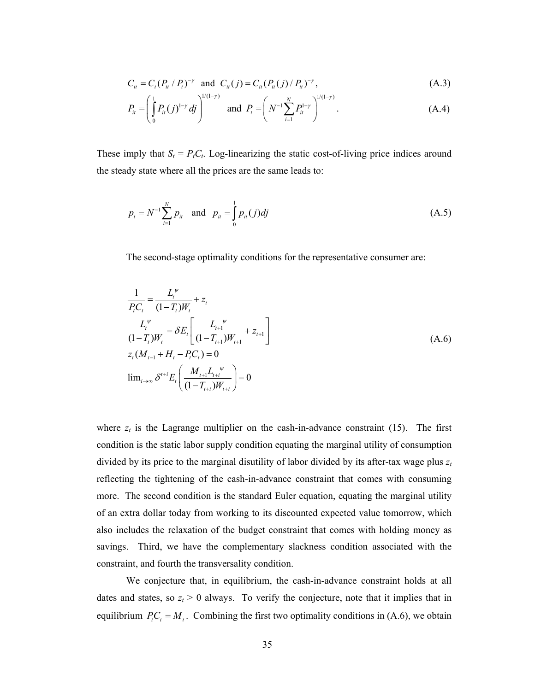$$
C_{ii} = C_{i}(P_{ii} / P_{i})^{-\gamma} \text{ and } C_{ii}(j) = C_{ii}(P_{ii}(j) / P_{ii})^{-\gamma}, \qquad (A.3)
$$

$$
P_{it} = \left(\int_{0}^{1} P_{it}(j)^{1-\gamma} dj\right)^{1/(1-\gamma)} \text{ and } P_{t} = \left(N^{-1} \sum_{i=1}^{N} P_{it}^{1-\gamma}\right)^{1/(1-\gamma)}.
$$
 (A.4)

These imply that  $S_t = P_t C_t$ . Log-linearizing the static cost-of-living price indices around the steady state where all the prices are the same leads to:

$$
p_{t} = N^{-1} \sum_{i=1}^{N} p_{it} \text{ and } p_{it} = \int_{0}^{1} p_{it}(j) dj \qquad (A.5)
$$

The second-stage optimality conditions for the representative consumer are:

$$
\frac{1}{P_{i}C_{t}} = \frac{L_{t}^{w}}{(1 - T_{i})W_{t}} + z_{t}
$$
\n
$$
\frac{L_{t}^{w}}{(1 - T_{i})W_{t}} = \delta E_{t} \left[ \frac{L_{t+1}^{w}}{(1 - T_{t+1})W_{t+1}} + z_{t+1} \right]
$$
\n
$$
z_{t}(M_{t-1} + H_{t} - P_{t}C_{t}) = 0
$$
\n
$$
\lim_{i \to \infty} \delta^{t+i} E_{t} \left( \frac{M_{t+1}L_{t+i}^{w}}{(1 - T_{t+i})W_{t+i}} \right) = 0
$$
\n
$$
(A.6)
$$

where  $z_t$  is the Lagrange multiplier on the cash-in-advance constraint (15). The first condition is the static labor supply condition equating the marginal utility of consumption divided by its price to the marginal disutility of labor divided by its after-tax wage plus  $z_t$ reflecting the tightening of the cash-in-advance constraint that comes with consuming more. The second condition is the standard Euler equation, equating the marginal utility of an extra dollar today from working to its discounted expected value tomorrow, which also includes the relaxation of the budget constraint that comes with holding money as savings. Third, we have the complementary slackness condition associated with the constraint, and fourth the transversality condition.

We conjecture that, in equilibrium, the cash-in-advance constraint holds at all dates and states, so  $z_t > 0$  always. To verify the conjecture, note that it implies that in equilibrium  $P_t C_t = M_t$ . Combining the first two optimality conditions in (A.6), we obtain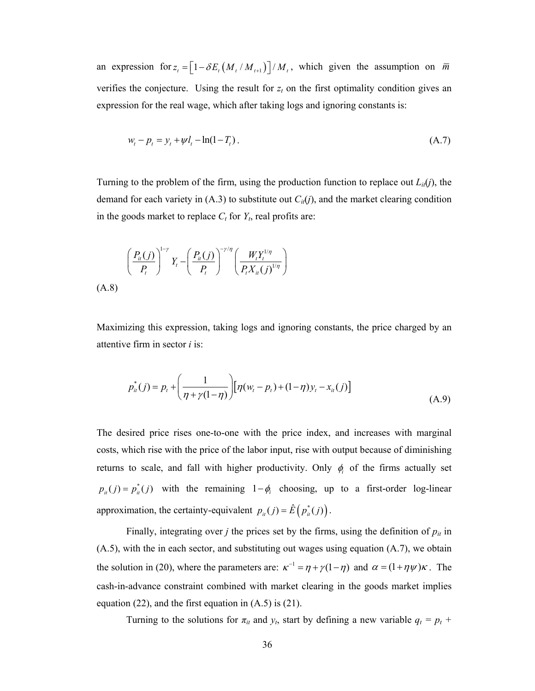an expression for  $z_t = \left[1 - \delta E_t \left(M_t / M_{t+1}\right)\right] / M_t$ , which given the assumption on  $\bar{m}$ verifies the conjecture. Using the result for  $z_t$  on the first optimality condition gives an expression for the real wage, which after taking logs and ignoring constants is:

$$
w_t - p_t = y_t + \psi l_t - \ln(1 - T_t). \tag{A.7}
$$

Turning to the problem of the firm, using the production function to replace out  $L<sub>it</sub>(j)$ , the demand for each variety in  $(A.3)$  to substitute out  $C<sub>it</sub>(j)$ , and the market clearing condition in the goods market to replace  $C_t$  for  $Y_t$ , real profits are:

$$
\left(\frac{P_{ii}(j)}{P_t}\right)^{1-\gamma} Y_t - \left(\frac{P_{ii}(j)}{P_t}\right)^{-\gamma/\eta} \left(\frac{W_t Y_t^{1/\eta}}{P_t X_{it}(j)^{1/\eta}}\right)
$$
\n(A.8)

Maximizing this expression, taking logs and ignoring constants, the price charged by an attentive firm in sector *i* is:

$$
p_{ii}^*(j) = p_t + \left(\frac{1}{\eta + \gamma(1-\eta)}\right) \left[\eta(w_t - p_t) + (1-\eta)y_t - x_{ii}(j)\right]
$$
\n(A.9)

The desired price rises one-to-one with the price index, and increases with marginal costs, which rise with the price of the labor input, rise with output because of diminishing returns to scale, and fall with higher productivity. Only  $\phi_i$  of the firms actually set  $p_{ii}(j) = p_{ii}^*(j)$  with the remaining  $1-\phi_i$  choosing, up to a first-order log-linear approximation, the certainty-equivalent  $p_{ij}(j) = \hat{E}( p_{ij}^*(j) ).$ 

Finally, integrating over *j* the prices set by the firms, using the definition of  $p_{it}$  in (A.5), with the in each sector, and substituting out wages using equation (A.7), we obtain the solution in (20), where the parameters are:  $\kappa^{-1} = \eta + \gamma(1 - \eta)$  and  $\alpha = (1 + \eta \psi)\kappa$ . The cash-in-advance constraint combined with market clearing in the goods market implies equation (22), and the first equation in  $(A.5)$  is (21).

Turning to the solutions for  $\pi_{it}$  and  $y_t$ , start by defining a new variable  $q_t = p_t + q_t$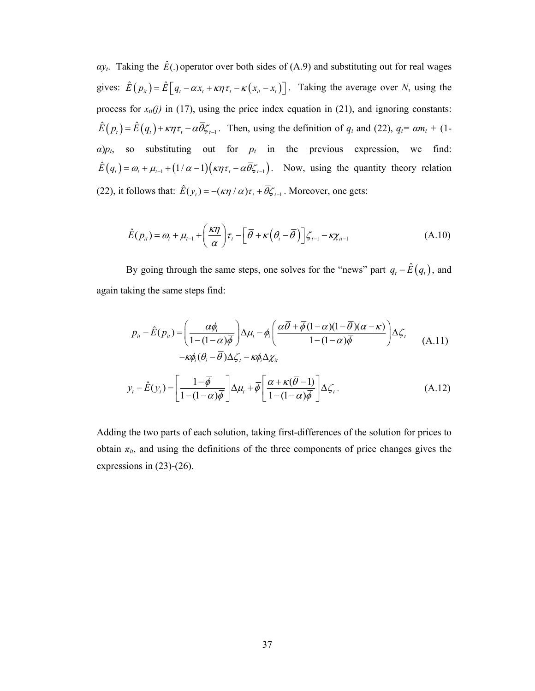$\alpha y_t$ . Taking the  $\hat{E}$ (.) operator over both sides of (A.9) and substituting out for real wages gives:  $\hat{E}(p_{ii}) = \hat{E}[q_i - \alpha x_i + \kappa \eta \tau_i - \kappa (x_i - x_i)]$ . Taking the average over *N*, using the process for  $x_{it}(j)$  in (17), using the price index equation in (21), and ignoring constants:  $\hat{E}( p_t ) = \hat{E}(q_t) + \kappa \eta \tau_t - \alpha \overline{\theta} \zeta_{t-1}$ . Then, using the definition of  $q_t$  and (22),  $q_t = \alpha m_t + (1 - \alpha) \zeta_{t-1}$ .  $\alpha$ ) $p_t$ , so substituting out for  $p_t$  in the previous expression, we find:  $\hat{E}(q_t) = \omega_t + \mu_{t-1} + (1/\alpha - 1)(\kappa \eta \tau_t - \alpha \bar{\theta} \zeta_{t-1})$ . Now, using the quantity theory relation (22), it follows that:  $\hat{E}(y_t) = -(\kappa \eta / \alpha) \tau_t + \overline{\theta} \zeta_{t-1}$ . Moreover, one gets:

$$
\hat{E}(p_{it}) = \omega_t + \mu_{t-1} + \left(\frac{\kappa \eta}{\alpha}\right) \tau_t - \left[\bar{\theta} + \kappa \left(\theta_i - \bar{\theta}\right)\right] \zeta_{t-1} - \kappa \chi_{it-1}
$$
\n(A.10)

By going through the same steps, one solves for the "news" part  $q_t - \hat{E}(q_t)$ , and again taking the same steps find:

$$
p_{ii} - \hat{E}(p_{ii}) = \left(\frac{\alpha \phi_i}{1 - (1 - \alpha)\bar{\phi}}\right) \Delta \mu_t - \phi_i \left(\frac{\alpha \bar{\theta} + \bar{\phi}(1 - \alpha)(1 - \bar{\theta})(\alpha - \kappa)}{1 - (1 - \alpha)\bar{\phi}}\right) \Delta \zeta_i
$$
\n
$$
-\kappa \phi_i (\theta_i - \bar{\theta}) \Delta \zeta_i - \kappa \phi_i \Delta \chi_{ii}
$$
\n
$$
y_i - \hat{E}(y_i) = \left[\frac{1 - \bar{\phi}}{1 - (1 - \alpha)\bar{\phi}}\right] \Delta \mu_t + \bar{\phi} \left[\frac{\alpha + \kappa(\bar{\theta} - 1)}{1 - (1 - \alpha)\bar{\phi}}\right] \Delta \zeta_i.
$$
\n(A.12)

Adding the two parts of each solution, taking first-differences of the solution for prices to obtain  $\pi_{it}$ , and using the definitions of the three components of price changes gives the expressions in (23)-(26).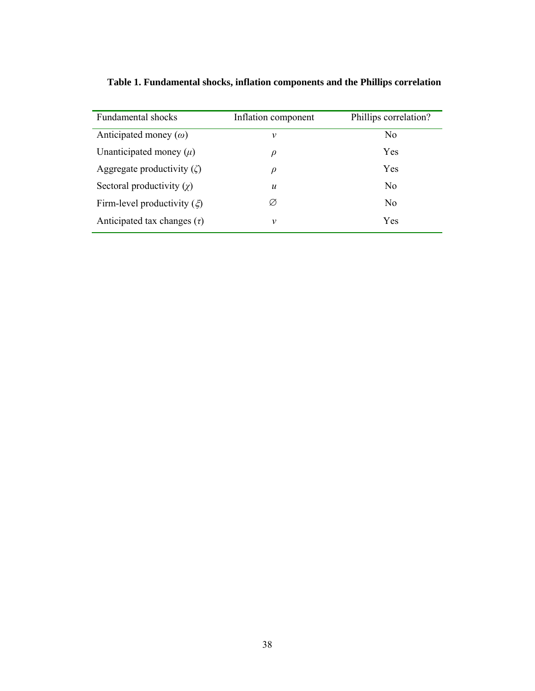| <b>Fundamental shocks</b>        | Inflation component | Phillips correlation? |
|----------------------------------|---------------------|-----------------------|
| Anticipated money $(\omega)$     | $\mathcal V$        | No                    |
| Unanticipated money $(\mu)$      | $\rho$              | Yes                   |
| Aggregate productivity $(\zeta)$ | $\rho$              | Yes                   |
| Sectoral productivity $(\chi)$   | $\boldsymbol{u}$    | No                    |
| Firm-level productivity $(\xi)$  | Ø                   | N <sub>0</sub>        |
| Anticipated tax changes $(\tau)$ | v                   | Yes                   |

**Table 1. Fundamental shocks, inflation components and the Phillips correlation**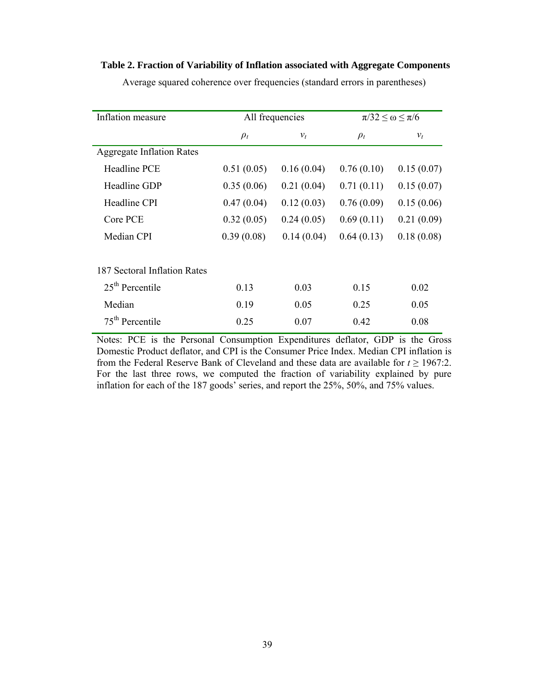### **Table 2. Fraction of Variability of Inflation associated with Aggregate Components**

| Inflation measure                |            | All frequencies | $\pi/32 \leq \omega \leq \pi/6$ |            |  |
|----------------------------------|------------|-----------------|---------------------------------|------------|--|
|                                  | $\rho_t$   | $v_t$           | $\rho_t$                        | $v_t$      |  |
| <b>Aggregate Inflation Rates</b> |            |                 |                                 |            |  |
| Headline PCE                     | 0.51(0.05) | 0.16(0.04)      | 0.76(0.10)                      | 0.15(0.07) |  |
| Headline GDP                     | 0.35(0.06) | 0.21(0.04)      | 0.71(0.11)                      | 0.15(0.07) |  |
| Headline CPI                     | 0.47(0.04) | 0.12(0.03)      | 0.76(0.09)                      | 0.15(0.06) |  |
| Core PCE                         | 0.32(0.05) | 0.24(0.05)      | 0.69(0.11)                      | 0.21(0.09) |  |
| Median CPI                       | 0.39(0.08) | 0.14(0.04)      | 0.64(0.13)                      | 0.18(0.08) |  |
| 187 Sectoral Inflation Rates     |            |                 |                                 |            |  |
| $25th$ Percentile                | 0.13       | 0.03            | 0.15                            | 0.02       |  |
| Median                           | 0.19       | 0.05            | 0.25                            | 0.05       |  |
| $75th$ Percentile                | 0.25       | 0.07            | 0.42                            | 0.08       |  |

Average squared coherence over frequencies (standard errors in parentheses)

Notes: PCE is the Personal Consumption Expenditures deflator, GDP is the Gross Domestic Product deflator, and CPI is the Consumer Price Index. Median CPI inflation is from the Federal Reserve Bank of Cleveland and these data are available for  $t \ge 1967$ :2. For the last three rows, we computed the fraction of variability explained by pure inflation for each of the 187 goods' series, and report the 25%, 50%, and 75% values.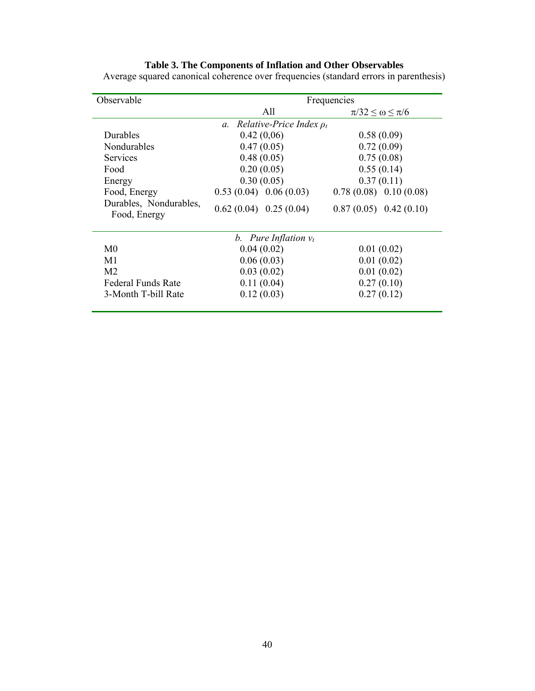| Frequencies                                  |                                 |  |  |  |  |
|----------------------------------------------|---------------------------------|--|--|--|--|
| All                                          | $\pi/32 \leq \omega \leq \pi/6$ |  |  |  |  |
| Relative-Price Index $\rho_t$<br>$a_{\cdot}$ |                                 |  |  |  |  |
| 0.42(0.06)                                   | 0.58(0.09)                      |  |  |  |  |
| 0.47(0.05)                                   | 0.72(0.09)                      |  |  |  |  |
| 0.48(0.05)                                   | 0.75(0.08)                      |  |  |  |  |
| 0.20(0.05)                                   | 0.55(0.14)                      |  |  |  |  |
| 0.30(0.05)                                   | 0.37(0.11)                      |  |  |  |  |
| $0.53(0.04)$ $0.06(0.03)$                    | $0.78(0.08)$ $0.10(0.08)$       |  |  |  |  |
| $0.62(0.04)$ 0.25 (0.04)                     | $0.87(0.05)$ 0.42 (0.10)        |  |  |  |  |
| b. Pure Inflation $v_t$                      |                                 |  |  |  |  |
| 0.04(0.02)                                   | 0.01(0.02)                      |  |  |  |  |
| 0.06(0.03)                                   | 0.01(0.02)                      |  |  |  |  |
| 0.03(0.02)                                   | 0.01(0.02)                      |  |  |  |  |
| 0.11(0.04)                                   | 0.27(0.10)                      |  |  |  |  |
| 0.12(0.03)                                   | 0.27(0.12)                      |  |  |  |  |
|                                              |                                 |  |  |  |  |

# **Table 3. The Components of Inflation and Other Observables**  Average squared canonical coherence over frequencies (standard errors in parenthesis)

40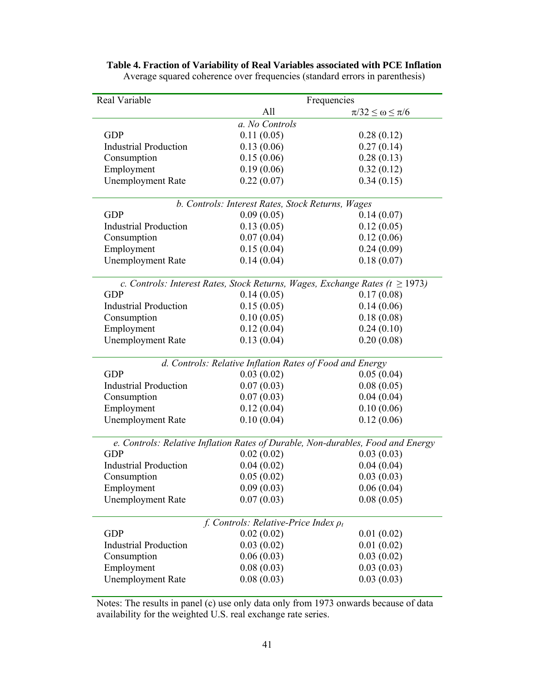| Real Variable                                                                      | Frequencies                                              |                                 |  |  |  |  |  |  |
|------------------------------------------------------------------------------------|----------------------------------------------------------|---------------------------------|--|--|--|--|--|--|
|                                                                                    | All                                                      | $\pi/32 \leq \omega \leq \pi/6$ |  |  |  |  |  |  |
|                                                                                    | a. No Controls                                           |                                 |  |  |  |  |  |  |
| <b>GDP</b>                                                                         | 0.11(0.05)                                               | 0.28(0.12)                      |  |  |  |  |  |  |
| <b>Industrial Production</b>                                                       | 0.13(0.06)                                               | 0.27(0.14)                      |  |  |  |  |  |  |
| Consumption                                                                        | 0.15(0.06)                                               | 0.28(0.13)                      |  |  |  |  |  |  |
| Employment                                                                         | 0.19(0.06)                                               | 0.32(0.12)                      |  |  |  |  |  |  |
| <b>Unemployment Rate</b>                                                           | 0.22(0.07)                                               | 0.34(0.15)                      |  |  |  |  |  |  |
|                                                                                    |                                                          |                                 |  |  |  |  |  |  |
| b. Controls: Interest Rates, Stock Returns, Wages                                  |                                                          |                                 |  |  |  |  |  |  |
| <b>GDP</b>                                                                         | 0.09(0.05)                                               | 0.14(0.07)                      |  |  |  |  |  |  |
| <b>Industrial Production</b>                                                       | 0.13(0.05)                                               | 0.12(0.05)                      |  |  |  |  |  |  |
| Consumption                                                                        | 0.07(0.04)                                               | 0.12(0.06)                      |  |  |  |  |  |  |
| Employment                                                                         | 0.15(0.04)                                               | 0.24(0.09)                      |  |  |  |  |  |  |
| <b>Unemployment Rate</b>                                                           | 0.14(0.04)                                               | 0.18(0.07)                      |  |  |  |  |  |  |
|                                                                                    |                                                          |                                 |  |  |  |  |  |  |
| c. Controls: Interest Rates, Stock Returns, Wages, Exchange Rates ( $t \ge 1973$ ) |                                                          |                                 |  |  |  |  |  |  |
| <b>GDP</b>                                                                         | 0.14(0.05)                                               | 0.17(0.08)                      |  |  |  |  |  |  |
| <b>Industrial Production</b>                                                       | 0.15(0.05)                                               | 0.14(0.06)                      |  |  |  |  |  |  |
| Consumption                                                                        | 0.10(0.05)                                               | 0.18(0.08)                      |  |  |  |  |  |  |
| Employment                                                                         | 0.12(0.04)                                               | 0.24(0.10)                      |  |  |  |  |  |  |
| <b>Unemployment Rate</b>                                                           | 0.13(0.04)                                               | 0.20(0.08)                      |  |  |  |  |  |  |
|                                                                                    | d. Controls: Relative Inflation Rates of Food and Energy |                                 |  |  |  |  |  |  |
| <b>GDP</b>                                                                         | 0.03(0.02)                                               | 0.05(0.04)                      |  |  |  |  |  |  |
| <b>Industrial Production</b>                                                       | 0.07(0.03)                                               | 0.08(0.05)                      |  |  |  |  |  |  |
| Consumption                                                                        | 0.07(0.03)                                               | 0.04(0.04)                      |  |  |  |  |  |  |
| Employment                                                                         | 0.12(0.04)                                               | 0.10(0.06)                      |  |  |  |  |  |  |
| <b>Unemployment Rate</b>                                                           | 0.10(0.04)                                               | 0.12(0.06)                      |  |  |  |  |  |  |
|                                                                                    |                                                          |                                 |  |  |  |  |  |  |
| e. Controls: Relative Inflation Rates of Durable, Non-durables, Food and Energy    |                                                          |                                 |  |  |  |  |  |  |
| <b>GDP</b>                                                                         | 0.02(0.02)                                               | 0.03(0.03)                      |  |  |  |  |  |  |
| <b>Industrial Production</b>                                                       | 0.04(0.02)                                               | 0.04(0.04)                      |  |  |  |  |  |  |
| Consumption                                                                        | 0.05(0.02)                                               | 0.03(0.03)                      |  |  |  |  |  |  |
| Employment                                                                         | 0.09(0.03)                                               | 0.06(0.04)                      |  |  |  |  |  |  |
| <b>Unemployment Rate</b>                                                           | 0.07(0.03)                                               | 0.08(0.05)                      |  |  |  |  |  |  |
|                                                                                    |                                                          |                                 |  |  |  |  |  |  |
| <b>GDP</b>                                                                         | f. Controls: Relative-Price Index $\rho_t$<br>0.02(0.02) | 0.01(0.02)                      |  |  |  |  |  |  |
| <b>Industrial Production</b>                                                       |                                                          |                                 |  |  |  |  |  |  |
|                                                                                    | 0.03(0.02)                                               | 0.01(0.02)                      |  |  |  |  |  |  |
| Consumption                                                                        | 0.06(0.03)                                               | 0.03(0.02)                      |  |  |  |  |  |  |
| Employment                                                                         | 0.08(0.03)                                               | 0.03(0.03)                      |  |  |  |  |  |  |
| <b>Unemployment Rate</b>                                                           | 0.08(0.03)                                               | 0.03(0.03)                      |  |  |  |  |  |  |

## **Table 4. Fraction of Variability of Real Variables associated with PCE Inflation**  Average squared coherence over frequencies (standard errors in parenthesis)

Notes: The results in panel (c) use only data only from 1973 onwards because of data availability for the weighted U.S. real exchange rate series.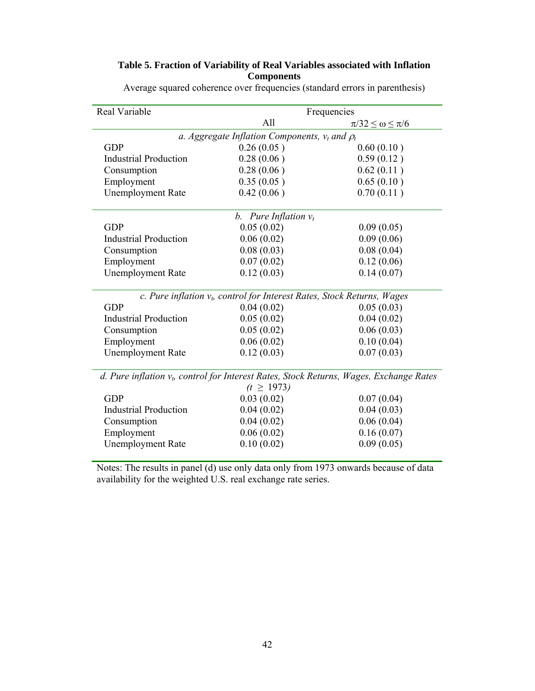## **Table 5. Fraction of Variability of Real Variables associated with Inflation Components**

| Real Variable                | Frequencies                                           |                                                                                                     |  |  |
|------------------------------|-------------------------------------------------------|-----------------------------------------------------------------------------------------------------|--|--|
|                              | All                                                   | $\pi/32 \leq \omega \leq \pi/6$                                                                     |  |  |
|                              | a. Aggregate Inflation Components, $v_t$ and $\rho_t$ |                                                                                                     |  |  |
| <b>GDP</b>                   | 0.26(0.05)                                            | 0.60(0.10)                                                                                          |  |  |
| <b>Industrial Production</b> | 0.28(0.06)                                            | 0.59(0.12)                                                                                          |  |  |
| Consumption                  | 0.28(0.06)                                            | 0.62(0.11)                                                                                          |  |  |
| Employment                   | 0.35(0.05)                                            | 0.65(0.10)                                                                                          |  |  |
| <b>Unemployment Rate</b>     | 0.42(0.06)                                            | 0.70(0.11)                                                                                          |  |  |
|                              | b. Pure Inflation $v_t$                               |                                                                                                     |  |  |
| <b>GDP</b>                   | 0.05(0.02)                                            | 0.09(0.05)                                                                                          |  |  |
| <b>Industrial Production</b> | 0.06(0.02)                                            | 0.09(0.06)                                                                                          |  |  |
| Consumption                  | 0.08(0.03)                                            | 0.08(0.04)                                                                                          |  |  |
| Employment                   | 0.07(0.02)                                            | 0.12(0.06)                                                                                          |  |  |
| <b>Unemployment Rate</b>     | 0.12(0.03)                                            | 0.14(0.07)                                                                                          |  |  |
|                              |                                                       | c. Pure inflation $v_t$ , control for Interest Rates, Stock Returns, Wages                          |  |  |
| <b>GDP</b>                   | 0.04(0.02)                                            | 0.05(0.03)                                                                                          |  |  |
| <b>Industrial Production</b> | 0.05(0.02)                                            | 0.04(0.02)                                                                                          |  |  |
| Consumption                  | 0.05(0.02)                                            | 0.06(0.03)                                                                                          |  |  |
| Employment                   | 0.06(0.02)                                            | 0.10(0.04)                                                                                          |  |  |
| <b>Unemployment Rate</b>     | 0.12(0.03)                                            | 0.07(0.03)                                                                                          |  |  |
|                              |                                                       | d. Pure inflation v <sub>t</sub> , control for Interest Rates, Stock Returns, Wages, Exchange Rates |  |  |
|                              | $(t \ge 1973)$                                        |                                                                                                     |  |  |
| <b>GDP</b>                   | 0.03(0.02)                                            | 0.07(0.04)                                                                                          |  |  |
| <b>Industrial Production</b> | 0.04(0.02)                                            | 0.04(0.03)                                                                                          |  |  |
| Consumption                  | 0.04(0.02)                                            | 0.06(0.04)                                                                                          |  |  |
| Employment                   | 0.06(0.02)                                            | 0.16(0.07)                                                                                          |  |  |
| <b>Unemployment Rate</b>     | 0.10(0.02)                                            | 0.09(0.05)                                                                                          |  |  |

Average squared coherence over frequencies (standard errors in parenthesis)

Notes: The results in panel (d) use only data only from 1973 onwards because of data availability for the weighted U.S. real exchange rate series.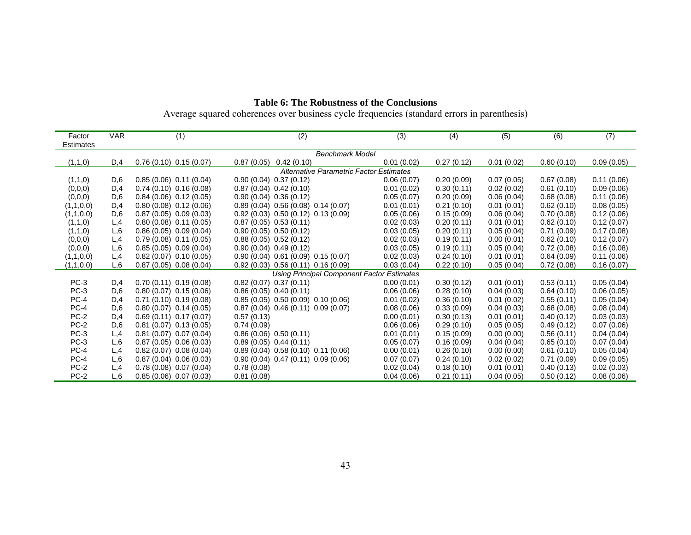#### **Table 6: The Robustness of the Conclusions**

Average squared coherences over business cycle frequencies (standard errors in parenthesis)

| Factor<br><b>Estimates</b> | <b>VAR</b> | (1)                        | (2)                                               | (3)        | (4)        | (5)        | (6)        | (7)        |  |
|----------------------------|------------|----------------------------|---------------------------------------------------|------------|------------|------------|------------|------------|--|
| <b>Benchmark Model</b>     |            |                            |                                                   |            |            |            |            |            |  |
| (1,1,0)                    | D,4        | $0.76(0.10)$ $0.15(0.07)$  | 0.87(0.05)<br>0.42(0.10)                          | 0.01(0.02) | 0.27(0.12) | 0.01(0.02) | 0.60(0.10) | 0.09(0.05) |  |
|                            |            |                            | Alternative Parametric Factor Estimates           |            |            |            |            |            |  |
| (1,1,0)                    | D,6        | $0.85(0.06)$ 0.11 (0.04)   | $0.90(0.04)$ $0.37(0.12)$                         | 0.06(0.07) | 0.20(0.09) | 0.07(0.05) | 0.67(0.08) | 0.11(0.06) |  |
| (0,0,0)                    | D,4        | $0.74(0.10)$ $0.16(0.08)$  | $0.87(0.04)$ 0.42 (0.10)                          | 0.01(0.02) | 0.30(0.11) | 0.02(0.02) | 0.61(0.10) | 0.09(0.06) |  |
| (0,0,0)                    | D,6        | $0.84(0.06)$ $0.12(0.05)$  | $0.90(0.04)$ $0.36(0.12)$                         | 0.05(0.07) | 0.20(0.09) | 0.06(0.04) | 0.68(0.08) | 0.11(0.06) |  |
| (1,1,0,0)                  | D,4        | $0.80(0.08)$ 0.12 (0.06)   | $0.89(0.04)$ $0.56(0.08)$ $0.14(0.07)$            | 0.01(0.01) | 0.21(0.10) | 0.01(0.01) | 0.62(0.10) | 0.08(0.05) |  |
| (1,1,0,0)                  | D,6        | $0.87(0.05)$ 0.09 $(0.03)$ | $0.92(0.03)$ $0.50(0.12)$ $0.13(0.09)$            | 0.05(0.06) | 0.15(0.09) | 0.06(0.04) | 0.70(0.08) | 0.12(0.06) |  |
| (1,1,0)                    | L,4        | $0.80(0.08)$ $0.11(0.05)$  | $0.87(0.05)$ $0.53(0.11)$                         | 0.02(0.03) | 0.20(0.11) | 0.01(0.01) | 0.62(0.10) | 0.12(0.07) |  |
| (1,1,0)                    | L,6        | $0.86(0.05)$ $0.09(0.04)$  | 0.90(0.05) 0.50(0.12)                             | 0.03(0.05) | 0.20(0.11) | 0.05(0.04) | 0.71(0.09) | 0.17(0.08) |  |
| (0,0,0)                    | L,4        | $0.79(0.08)$ $0.11(0.05)$  | $0.88(0.05)$ $0.52(0.12)$                         | 0.02(0.03) | 0.19(0.11) | 0.00(0.01) | 0.62(0.10) | 0.12(0.07) |  |
| (0,0,0)                    | L,6        | $0.85(0.05)$ $0.09(0.04)$  | $0.90(0.04)$ $0.49(0.12)$                         | 0.03(0.05) | 0.19(0.11) | 0.05(0.04) | 0.72(0.08) | 0.16(0.08) |  |
| (1,1,0,0)                  | L,4        | $0.82(0.07)$ 0.10 (0.05)   | 0.90(0.04) 0.61(0.09) 0.15(0.07)                  | 0.02(0.03) | 0.24(0.10) | 0.01(0.01) | 0.64(0.09) | 0.11(0.06) |  |
| (1,1,0,0)                  | L,6        | $0.87(0.05)$ $0.08(0.04)$  | $0.92(0.03)$ $0.56(0.11)$ $0.16(0.09)$            | 0.03(0.04) | 0.22(0.10) | 0.05(0.04) | 0.72(0.08) | 0.16(0.07) |  |
|                            |            |                            | <b>Using Principal Component Factor Estimates</b> |            |            |            |            |            |  |
| $PC-3$                     | D,4        | 0.70(0.11) 0.19(0.08)      | $0.82(0.07)$ 0.37 (0.11)                          | 0.00(0.01) | 0.30(0.12) | 0.01(0.01) | 0.53(0.11) | 0.05(0.04) |  |
| $PC-3$                     | D,6        | $0.80(0.07)$ $0.15(0.06)$  | $0.86(0.05)$ $0.40(0.11)$                         | 0.06(0.06) | 0.28(0.10) | 0.04(0.03) | 0.64(0.10) | 0.06(0.05) |  |
| $PC-4$                     | D,4        | 0.71(0.10) 0.19(0.08)      | $0.85(0.05)$ $0.50(0.09)$ $0.10(0.06)$            | 0.01(0.02) | 0.36(0.10) | 0.01(0.02) | 0.55(0.11) | 0.05(0.04) |  |
| $PC-4$                     | D,6        | $0.80(0.07)$ 0.14 (0.05)   | $0.87(0.04)$ 0.46 $(0.11)$ 0.09 $(0.07)$          | 0.08(0.06) | 0.33(0.09) | 0.04(0.03) | 0.68(0.08) | 0.08(0.04) |  |
| $PC-2$                     | D,4        | $0.69(0.11)$ $0.17(0.07)$  | 0.57(0.13)                                        | 0.00(0.01) | 0.30(0.13) | 0.01(0.01) | 0.40(0.12) | 0.03(0.03) |  |
| $PC-2$                     | D,6        | $0.81(0.07)$ 0.13 (0.05)   | 0.74(0.09)                                        | 0.06(0.06) | 0.29(0.10) | 0.05(0.05) | 0.49(0.12) | 0.07(0.06) |  |
| $PC-3$                     | L, 4       | $0.81(0.07)$ $0.07(0.04)$  | $0.86(0.06)$ $0.50(0.11)$                         | 0.01(0.01) | 0.15(0.09) | 0.00(0.00) | 0.56(0.11) | 0.04(0.04) |  |
| $PC-3$                     | L,6        | $0.87(0.05)$ 0.06 (0.03)   | $0.89(0.05)$ 0.44 (0.11)                          | 0.05(0.07) | 0.16(0.09) | 0.04(0.04) | 0.65(0.10) | 0.07(0.04) |  |
| $PC-4$                     | L, 4       | $0.82(0.07)$ 0.08 (0.04)   | $0.89(0.04)$ $0.58(0.10)$ $0.11(0.06)$            | 0.00(0.01) | 0.26(0.10) | 0.00(0.00) | 0.61(0.10) | 0.05(0.04) |  |
| $PC-4$                     | L,6        | $0.87(0.04)$ 0.06 (0.03)   | $0.90(0.04)$ 0.47 (0.11) 0.09 (0.06)              | 0.07(0.07) | 0.24(0.10) | 0.02(0.02) | 0.71(0.09) | 0.09(0.05) |  |
| $PC-2$                     | L, 4       | 0.78(0.08) 0.07(0.04)      | 0.78(0.08)                                        | 0.02(0.04) | 0.18(0.10) | 0.01(0.01) | 0.40(0.13) | 0.02(0.03) |  |
| $PC-2$                     | L,6        | $0.85(0.06)$ $0.07(0.03)$  | 0.81(0.08)                                        | 0.04(0.06) | 0.21(0.11) | 0.04(0.05) | 0.50(0.12) | 0.08(0.06) |  |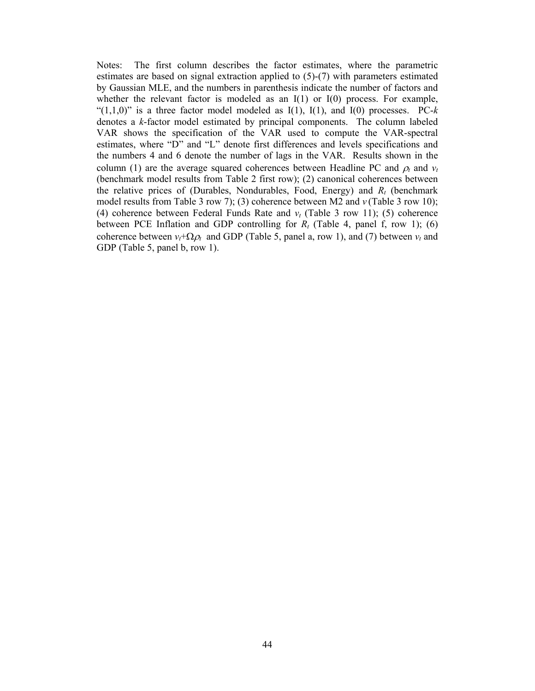Notes: The first column describes the factor estimates, where the parametric estimates are based on signal extraction applied to (5)-(7) with parameters estimated by Gaussian MLE, and the numbers in parenthesis indicate the number of factors and whether the relevant factor is modeled as an  $I(1)$  or  $I(0)$  process. For example, " $(1,1,0)$ " is a three factor model modeled as  $I(1)$ ,  $I(1)$ , and  $I(0)$  processes. PC-k denotes a *k*-factor model estimated by principal components. The column labeled VAR shows the specification of the VAR used to compute the VAR-spectral estimates, where "D" and "L" denote first differences and levels specifications and the numbers 4 and 6 denote the number of lags in the VAR. Results shown in the column (1) are the average squared coherences between Headline PC and  $\rho_t$  and  $v_t$ (benchmark model results from Table 2 first row); (2) canonical coherences between the relative prices of (Durables, Nondurables, Food, Energy) and  $R_t$  (benchmark model results from Table 3 row 7); (3) coherence between M2 and *v* (Table 3 row 10); (4) coherence between Federal Funds Rate and  $v_t$  (Table 3 row 11); (5) coherence between PCE Inflation and GDP controlling for  $R_t$  (Table 4, panel f, row 1); (6) coherence between  $v_t + \Omega \rho_t$  and GDP (Table 5, panel a, row 1), and (7) between  $v_t$  and GDP (Table 5, panel b, row 1).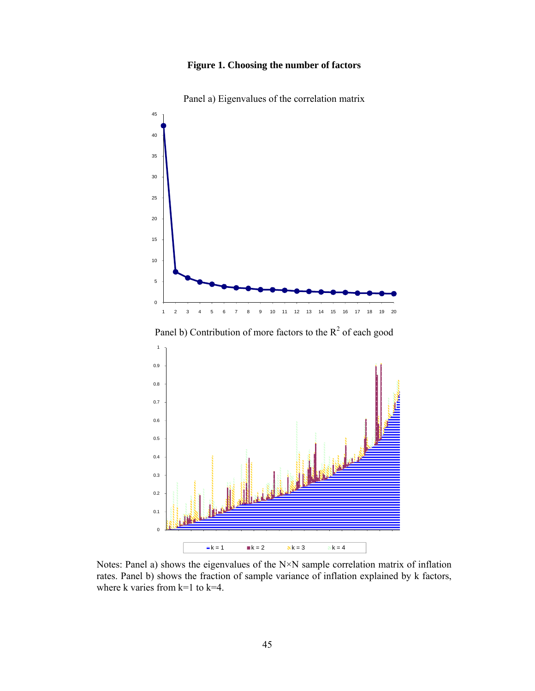## **Figure 1. Choosing the number of factors**



Panel a) Eigenvalues of the correlation matrix

Notes: Panel a) shows the eigenvalues of the N×N sample correlation matrix of inflation rates. Panel b) shows the fraction of sample variance of inflation explained by k factors, where k varies from k=1 to k=4.

 $\overline{=}\mathbf{k} = 1$   $\overline{\mathbf{k}} = 2$   $\overline{\mathbf{N}}\mathbf{k} = 3$   $\overline{\mathbf{N}}\mathbf{k} = 4$ 

0

0.1

0.2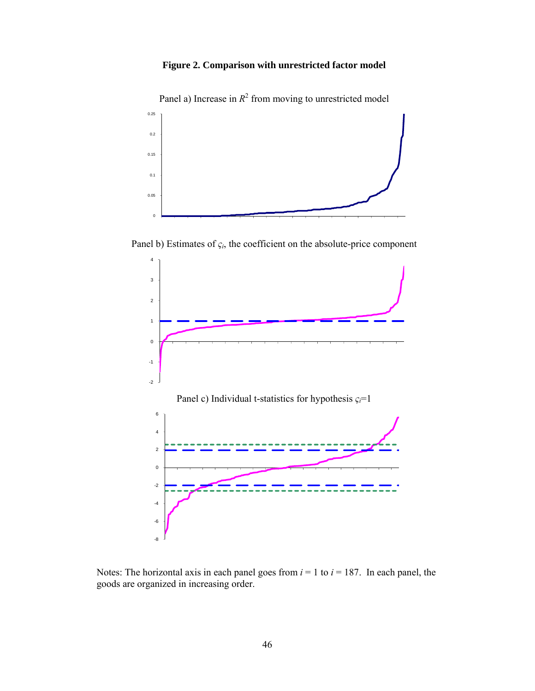## **Figure 2. Comparison with unrestricted factor model**



Panel a) Increase in  $R^2$  from moving to unrestricted model

Panel b) Estimates of  $\varsigma_i$ , the coefficient on the absolute-price component



Notes: The horizontal axis in each panel goes from  $i = 1$  to  $i = 187$ . In each panel, the goods are organized in increasing order.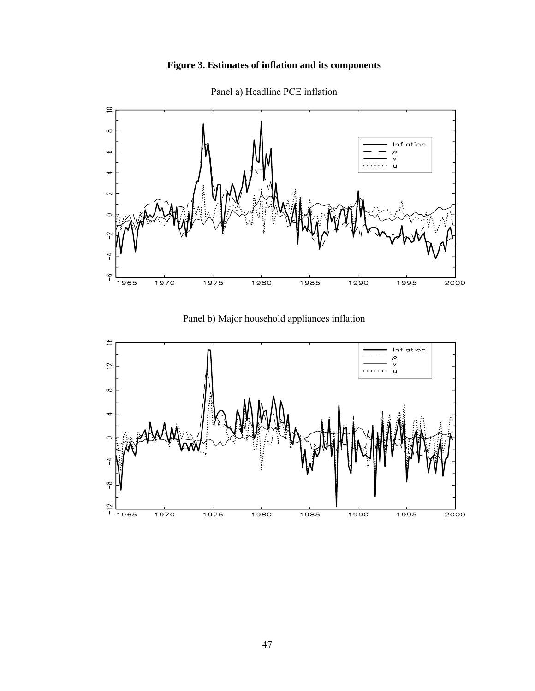



Panel a) Headline PCE inflation

Panel b) Major household appliances inflation